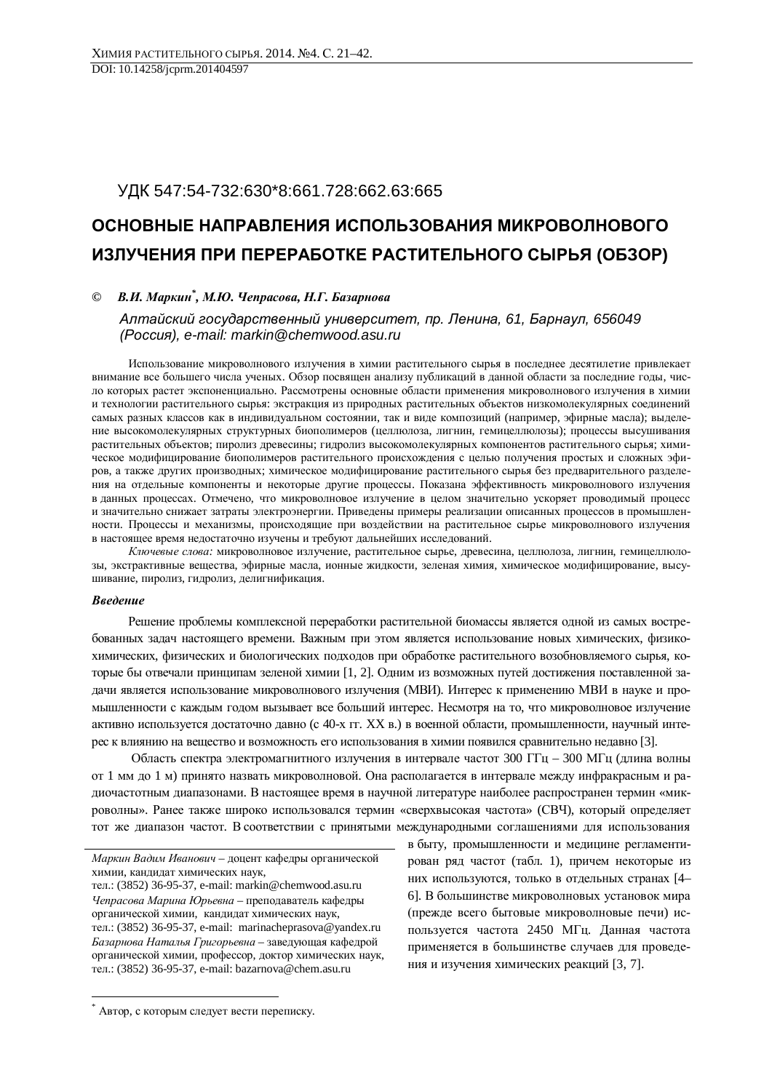# ɍȾɄ 547:54-732:630\*8:661.728:662.63:665

# ОСНОВНЫЕ НАПРАВЛЕНИЯ ИСПОЛЬЗОВАНИЯ МИКРОВОЛНОВОГО **ɂɁɅɍɑȿɇɂəɉɊɂɉȿɊȿɊȺȻɈɌɄȿɊȺɋɌɂɌȿɅɖɇɈȽɈɋɕɊɖə (ɈȻɁɈɊ)**

© *В.И. Маркин<sup>\*</sup>, М.Ю. Чепрасова, Н.Г. Базарнова* 

*Ⱥɥɬɚɣɫɤɢɣɝɨɫɭɞɚɪɫɬɜɟɧɧɵɣɭɧɢɜɟɪɫɢɬɟɬ, ɩɪ. Ʌɟɧɢɧɚ, 61, Ȼɚɪɧɚɭɥ, 656049 Ɋɨɫɫɢɹ), e-mail: markin@chemwood.asu.ru* 

Использование микроволнового излучения в химии растительного сырья в послелнее лесятилетие привлекает внимание все большего числа ученых. Обзор посвящен анализу публикаций в данной области за последние годы, число которых растет экспоненциально. Рассмотрены основные области применения микроволнового излучения в химии и технологии растительного сырья: экстракция из природных растительных объектов низкомолекулярных соединений самых разных классов как в индивидуальном состоянии, так и виде композиций (например, эфирные масла); выделение высокомолекулярных структурных биополимеров (целлюлоза, лигнин, гемицеллюлозы); процессы высушивания растительных объектов; пиролиз древесины; гидролиз высокомолекулярных компонентов растительного сырья; химическое модифицирование биополимеров растительного происхождения с целью получения простых и сложных эфиров, а также других производных; химическое модифицирование растительного сырья без предварительного разделения на отдельные компоненты и некоторые другие процессы. Показана эффективность микроволнового излучения в данных процессах. Отмечено, что микроволновое излучение в целом значительно ускоряет проводимый процесс и значительно снижает затраты электроэнергии. Приведены примеры реализации описанных процессов в промышленности. Процессы и механизмы, происходящие при воздействии на растительное сырье микроволнового излучения в настоящее время недостаточно изучены и требуют дальнейших исследований.

Ключевые слова: микроволновое излучение, растительное сырье, древесина, целлюлоза, лигнин, гемицеллюлозы, экстрактивные вещества, эфирные масла, ионные жидкости, зеленая химия, химическое модифицирование, высушивание, пиролиз, гидролиз, делигнификация.

# **Введение**

 $\overline{a}$ 

Решение проблемы комплексной переработки растительной биомассы является одной из самых востребованных задач настоящего времени. Важным при этом является использование новых химических, физикохимических, физических и биологических подходов при обработке растительного возобновляемого сырья, которые бы отвечали принципам зеленой химии [1, 2]. Одним из возможных путей достижения поставленной задачи является использование микроволнового излучения (МВИ). Интерес к применению МВИ в науке и промышленности с каждым годом вызывает все больший интерес. Несмотря на то, что микроволновое излучение активно используется достаточно давно (с 40-х гг. XX в.) в военной области, промышленности, научный интерес к влиянию на вещество и возможность его использования в химии появился сравнительно недавно [3].

Область спектра электромагнитного излучения в интервале частот 300 ГГц – 300 МГц (длина волны от 1 мм до 1 м) принято назвать микроволновой. Она располагается в интервале между инфракрасным и радиочастотным диапазонами. В настоящее время в научной литературе наиболее распространен термин «микроволны». Ранее также широко использовался термин «сверхвысокая частота» (СВЧ), который определяет тот же диапазон частот. В соответствии с принятыми международными соглашениями для использования

в быту, промышленности и медицине регламентирован ряд частот (табл. 1), причем некоторые из них используются, только в отдельных странах [4– 6]. В большинстве микроволновых установок мира прежде всего бытовые микроволновые печи) используется частота 2450 МГц. Данная частота применяется в большинстве случаев для проведения и изучения химических реакций [3, 7].

Маркин Вадим Иванович – доцент кафедры органической химии, кандидат химических наук, тел.: (3852) 36-95-37, e-mail: markin@chemwood.asu.ru

Чепрасова Марина Юрьевна – преподаватель кафедры органической химии, кандидат химических наук, тел.: (3852) 36-95-37, e-mail: marinacheprasova@yandex.ru Базарнова Наталья Григорьевна - заведующая кафедрой органической химии, профессор, доктор химических наук, тел.: (3852) 36-95-37, e-mail: bazarnova@chem.asu.ru

<sup>\*</sup> Автор, с которым следует вести переписку.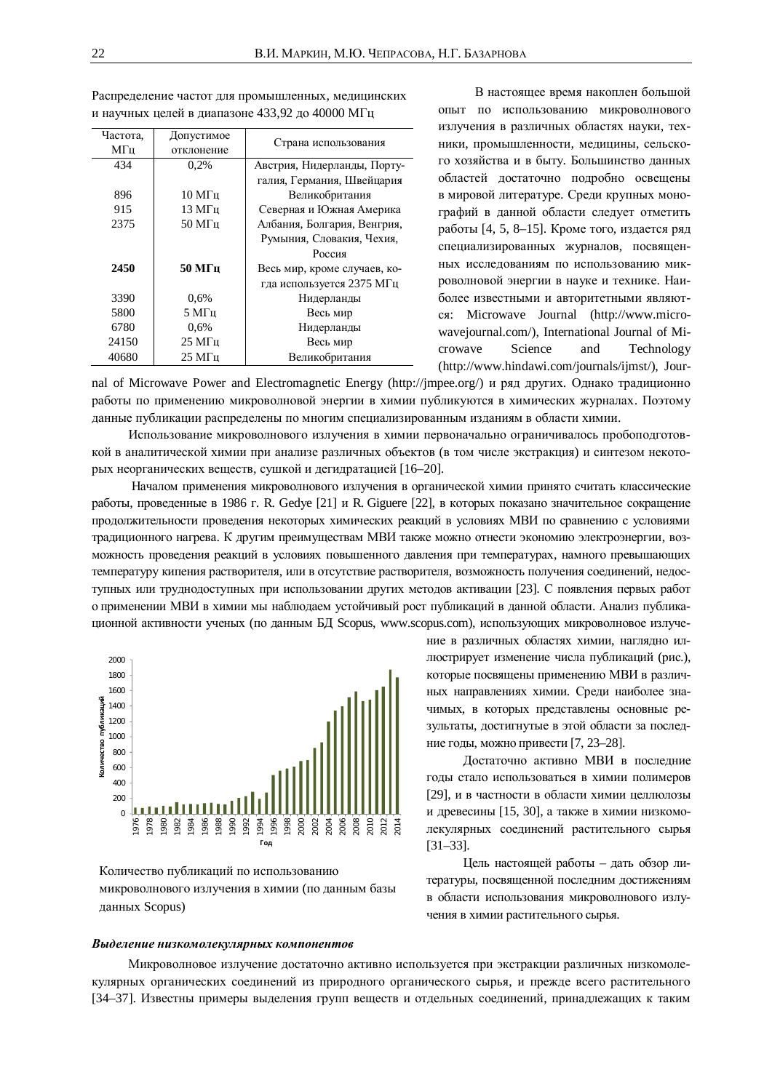| Частота. | Допустимое         | Страна использования         |
|----------|--------------------|------------------------------|
| МΓц      | отклонение         |                              |
| 434      | 0.2%               | Австрия, Нидерланды, Порту-  |
|          |                    | галия, Германия, Швейцария   |
| 896      | $10 M$ $\Gamma$ II | Великобритания               |
| 915      | 13 M <sub>TH</sub> | Северная и Южная Америка     |
| 2375     | $50$ M $\Gamma$ II | Албания, Болгария, Венгрия,  |
|          |                    | Румыния, Словакия, Чехия,    |
|          |                    | Россия                       |
| 2450     | $50$ M $\Gamma$ u  | Весь мир, кроме случаев, ко- |
|          |                    | гда используется 2375 МГц    |
| 3390     | 0.6%               | Нидерланды                   |
| 5800     | 5 M <sub>II</sub>  | Весь мир                     |
| 6780     | $0.6\%$            | Нидерланды                   |
| 24150    | $25 \mathrm{MTu}$  | Весь мир                     |
| 40680    | $25 \mathrm{MTu}$  | Великобритания               |

Распределение частот для промышленных, медицинских и научных целей в диапазоне 433,92 до 40000 МГц

В настоящее время накоплен большой опыт по использованию микроволнового излучения в различных областях науки, техники, промышленности, медицины, сельского хозяйства и в быту. Большинство данных областей достаточно подробно освещены в мировой литературе. Среди крупных монографий в данной области следует отметить работы [4, 5, 8–15]. Кроме того, издается ряд специализированных журналов, посвященных исследованиям по использованию микроволновой энергии в науке и технике. Наиболее известными и авторитетными являютɫɹ: Microwave Journal (http://www.microwavejournal.com/), International Journal of Microwave Science and Technology (http://www.hindawi.com/journals/ijmst/), Jour-

nal of Microwave Power and Electromagnetic Energy (http://jmpee.org/) и ряд других. Однако традиционно работы по применению микроволновой энергии в химии публикуются в химических журналах. Поэтому данные публикации распределены по многим специализированным изданиям в области химии.

Использование микроволнового излучения в химии первоначально ограничивалось пробоподготовкой в аналитической химии при анализе различных объектов (в том числе экстракция) и синтезом некоторых неорганических веществ, сушкой и дегидратацией [16–20].

Началом применения микроволнового излучения в органической химии принято считать классические работы, проведенные в 1986 г. R. Gedye [21] и R. Giguere [22], в которых показано значительное сокращение продолжительности проведения некоторых химических реакций в условиях МВИ по сравнению с условиями традиционного нагрева. К другим преимуществам МВИ также можно отнести экономию электроэнергии, возможность проведения реакций в условиях повышенного давления при температурах, намного превышающих температуру кипения растворителя, или в отсутствие растворителя, возможность получения соединений, недоступных или труднодоступных при использовании других методов активации [23]. С появления первых работ о применении МВИ в химии мы наблюдаем устойчивый рост публикаций в данной области. Анализ публикационной активности ученых (по данным БД Scopus, www.scopus.com), использующих микроволновое излуче-



Количество публикаций по использованию микроволнового излучения в химии (по данным базы данных Scopus)

ние в различных областях химии, наглядно иллюстрирует изменение числа публикаций (рис.), которые посвящены применению МВИ в различных направлениях химии. Среди наиболее значимых, в которых представлены основные результаты, достигнутые в этой области за последние годы, можно привести [7, 23-28].

Достаточно активно МВИ в последние годы стало использоваться в химии полимеров [29], и в частности в области химии целлюлозы и древесины [15, 30], а также в химии низкомолекулярных соединений растительного сырья [31–33].

Цель настоящей работы – дать обзор литературы, посвященной последним достижениям в области использования микроволнового излучения в химии растительного сырья.

#### **Выделение низкомолекулярных компонентов**

Микроволновое излучение достаточно активно используется при экстракции различных низкомолекулярных органических соединений из природного органического сырья, и прежде всего растительного [34–37]. Известны примеры выделения групп веществ и отдельных соединений, принадлежащих к таким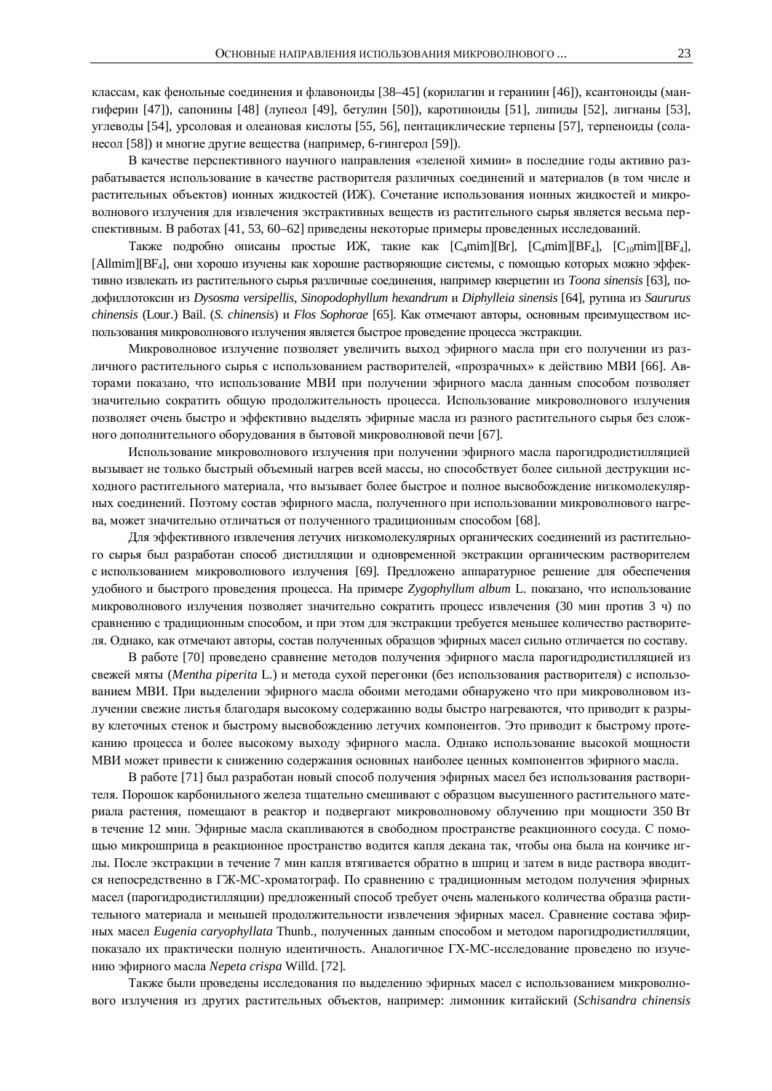классам, как фенольные соединения и флавоноиды [38–45] (корилагин и гераниин [46]), ксантоноиды (мангиферин [47]), сапонины [48] (лупеол [49], бетулин [50]), каротиноиды [51], липиды [52], лигнаны [53], үглеводы [54], урсоловая и олеановая кислоты [55, 56], пентациклические терпены [57], терпеноиды (соланесол [58]) и многие другие вещества (например, 6-гингерол [59]).

В качестве перспективного научного направления «зеленой химии» в последние годы активно разрабатывается использование в качестве растворителя различных соединений и материалов (в том числе и растительных объектов) ионных жидкостей (ИЖ). Сочетание использования ионных жидкостей и микроволнового излучения для извлечения экстрактивных веществ из растительного сырья является весьма перспективным. В работах [41, 53, 60–62] приведены некоторые примеры проведенных исследований.

Также подробно описаны простые ИЖ, такие как [C<sub>4</sub>mim][Br], [C<sub>4</sub>mim][BF<sub>4</sub>], [C<sub>10</sub>mim][BF<sub>4</sub>],  $[Allmim][BF<sub>4</sub>]$ , они хорошо изучены как хорошие растворяющие системы, с помощью которых можно эффективно извлекать из растительного сырья различные соединения, например кверцетин из *Toona sinensis* [63], подофиллотоксин из Dysosma versipellis, Sinopodophyllum hexandrum и Diphylleia sinensis [64], рутина из Saururus *chinensis* (Lour.) Bail. (*S. chinensis*) и *Flos Sophorae* [65]. Как отмечают авторы, основным преимуществом использования микроволнового излучения является быстрое проведение процесса экстракции.

Микроволновое излучение позволяет увеличить выход эфирного масла при его получении из различного растительного сырья с использованием растворителей, «прозрачных» к действию МВИ [66]. Авторами показано, что использование МВИ при получении эфирного масла данным способом позволяет значительно сократить общую продолжительность процесса. Использование микроволнового излучения позволяет очень быстро и эффективно выделять эфирные масла из разного растительного сырья без сложного дополнительного оборудования в бытовой микроволновой печи [67].

Использование микроволнового излучения при получении эфирного масла парогидродистилляцией вызывает не только быстрый объемный нагрев всей массы, но способствует более сильной деструкции исходного растительного материала, что вызывает более быстрое и полное высвобождение низкомолекулярных соединений. Поэтому состав эфирного масла, полученного при использовании микроволнового нагрева, может значительно отличаться от полученного традиционным способом [68].

Для эффективного извлечения летучих низкомолекулярных органических соединений из растительного сырья был разработан способ дистилляции и одновременной экстракции органическим растворителем с использованием микроволнового излучения [69]. Предложено аппаратурное решение для обеспечения удобного и быстрого проведения процесса. На примере Zygophyllum album L. показано, что использование микроволнового излучения позволяет значительно сократить процесс извлечения (30 мин против 3 ч) по сравнению с традиционным способом, и при этом для экстракции требуется меньшее количество растворителя. Однако, как отмечают авторы, состав полученных образцов эфирных масел сильно отличается по составу.

В работе [70] проведено сравнение методов получения эфирного масла парогидродистилляцией из свежей мяты (*Mentha piperita* L.) и метода сухой перегонки (без использования растворителя) с использованием МВИ. При выделении эфирного масла обоими методами обнаружено что при микроволновом излучении свежие листья благодаря высокому содержанию воды быстро нагреваются, что приводит к разрыву клеточных стенок и быстрому высвобождению летучих компонентов. Это приводит к быстрому протеканию процесса и более высокому выходу эфирного масла. Однако использование высокой мощности МВИ может привести к снижению содержания основных наиболее ценных компонентов эфирного масла.

В работе [71] был разработан новый способ получения эфирных масел без использования растворителя. Порошок карбонильного железа тщательно смешивают с образцом высушенного растительного материала растения, помещают в реактор и подвергают микроволновому облучению при мощности 350 Вт в течение 12 мин. Эфирные масла скапливаются в свободном пространстве реакционного сосуда. С помощью микрошприца в реакционное пространство водится капля декана так, чтобы она была на кончике иглы. После экстракции в течение 7 мин капля втягивается обратно в шприц и затем в виде раствора вводится непосредственно в ГЖ-МС-хроматограф. По сравнению с традиционным методом получения эфирных масел (парогидродистилляции) предложенный способ требует очень маленького количества образца растительного материала и меньшей продолжительности извлечения эфирных масел. Сравнение состава эфирных масел *Eugenia caryophyllata* Thunb., полученных данным способом и методом парогидродистилляции, показало их практически полную идентичность. Аналогичное ГХ-МС-исследование проведено по изучеɧɢɸɷɮɢɪɧɨɝɨɦɚɫɥɚ *Nepeta crispa* Willd. [72].

Также были проведены исследования по выделению эфирных масел с использованием микроволнового излучения из других растительных объектов, например: лимонник китайский (Schisandra chinensis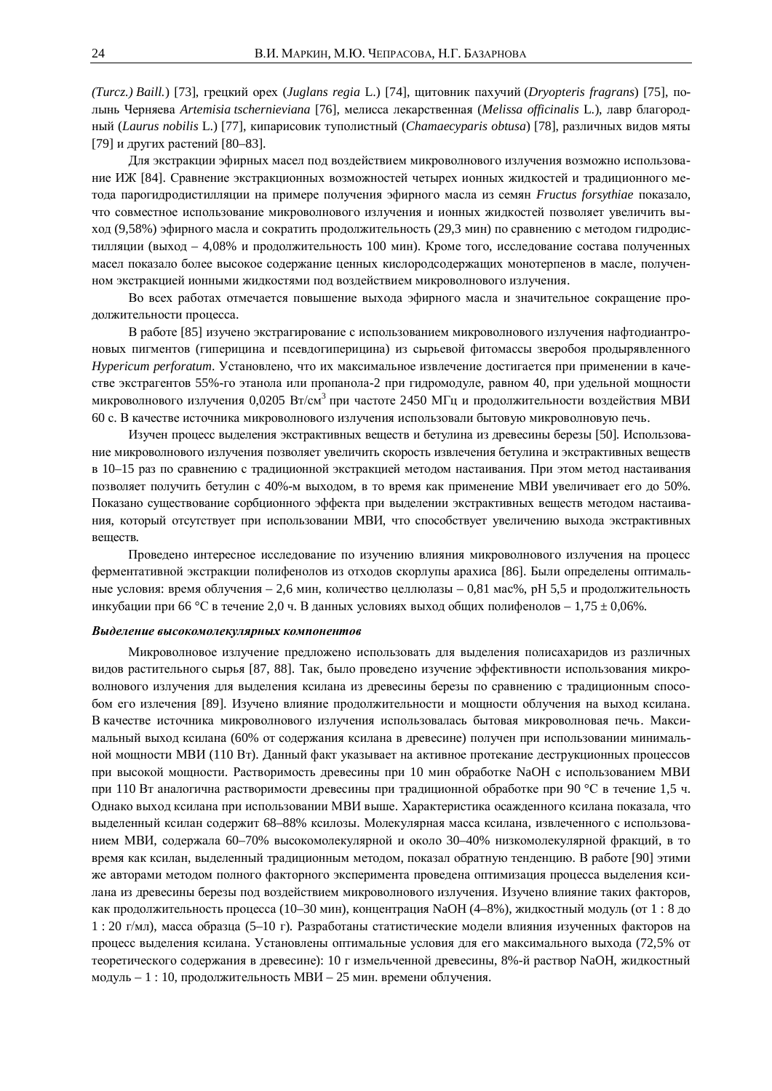*(Turcz.) Baill.*) [73], грецкий орех *(Juglans regia L.*) [74], щитовник пахучий (*Dryopteris fragrans*) [75], полынь Черняева Artemisia tschernieviana <sup>[76]</sup>, мелисса лекарственная (Melissa officinalis L.), лавр благородный (*Laurus nobilis* L.) [77], кипарисовик туполистный (*Chamaecyparis obtusa*) [78], различных видов мяты [79] и других растений [80–83].

Для экстракции эфирных масел под воздействием микроволнового излучения возможно использование ИЖ [84]. Сравнение экстракционных возможностей четырех ионных жидкостей и традиционного метода парогидродистилляции на примере получения эфирного масла из семян Fructus forsythiae показало, что совместное использование микроволнового излучения и ионных жидкостей позволяет увеличить выход (9,58%) эфирного масла и сократить продолжительность (29,3 мин) по сравнению с методом гидродистилляции (выход – 4,08% и продолжительность 100 мин). Кроме того, исследование состава полученных масел показало более высокое содержание ценных кислородсодержащих монотерпенов в масле, полученном экстракцией ионными жидкостями под воздействием микроволнового излучения.

Во всех работах отмечается повышение выхода эфирного масла и значительное сокращение продолжительности процесса.

В работе [85] изучено экстрагирование с использованием микроволнового излучения нафтодиантроновых пигментов (гиперицина и псевдогиперицина) из сырьевой фитомассы зверобоя продырявленного *Hypericum perforatum*. Установлено, что их максимальное извлечение достигается при применении в качестве экстрагентов 55%-го этанола или пропанола-2 при гидромодуле, равном 40, при удельной мощности микроволнового излучения 0,0205 Вт/см<sup>3</sup> при частоте 2450 МГц и продолжительности воздействия МВИ 60 с. В качестве источника микроволнового излучения использовали бытовую микроволновую печь.

Изучен процесс выделения экстрактивных веществ и бетулина из древесины березы [50]. Использование микроволнового излучения позволяет увеличить скорость извлечения бетулина и экстрактивных веществ в 10–15 раз по сравнению с традиционной экстракцией методом настаивания. При этом метод настаивания позволяет получить бетулин с 40%-м выходом, в то время как применение МВИ увеличивает его до 50%. Показано существование сорбционного эффекта при выделении экстрактивных веществ методом настаивания, который отсутствует при использовании МВИ, что способствует увеличению выхода экстрактивных веществ.

Проведено интересное исследование по изучению влияния микроволнового излучения на процесс ферментативной экстракции полифенолов из отходов скорлупы арахиса [86]. Были определены оптимальные условия: время облучения – 2,6 мин, количество целлюлазы – 0,81 мас%, рН 5,5 и продолжительность инкубации при 66 °С в течение 2,0 ч. В данных условиях выход общих полифенолов – 1,75  $\pm$  0,06%.

#### Выделение высокомолекулярных компонентов

Микроволновое излучение предложено использовать для выделения полисахаридов из различных видов растительного сырья [87, 88]. Так, было проведено изучение эффективности использования микроволнового излучения для выделения ксилана из древесины березы по сравнению с традиционным способом его излечения [89]. Изучено влияние продолжительности и мощности облучения на выход ксилана. В качестве источника микроволнового излучения использовалась бытовая микроволновая печь. Максимальный выход ксилана (60% от содержания ксилана в древесине) получен при использовании минимальной мощности МВИ (110 Вт). Данный факт указывает на активное протекание деструкционных процессов при высокой мощности. Растворимость древесины при 10 мин обработке NaOH с использованием МВИ при 110 Вт аналогична растворимости древесины при традиционной обработке при 90 °С в течение 1,5 ч. Однако выход ксилана при использовании МВИ выше. Характеристика осажденного ксилана показала, что выделенный ксилан содержит 68–88% ксилозы. Молекулярная масса ксилана, извлеченного с использованием МВИ, содержала 60–70% высокомолекулярной и около 30–40% низкомолекулярной фракций, в то время как ксилан, выделенный традиционным методом, показал обратную тенденцию. В работе [90] этими же авторами методом полного факторного эксперимента проведена оптимизация процесса выделения ксилана из древесины березы под воздействием микроволнового излучения. Изучено влияние таких факторов, как продолжительность процесса (10–30 мин), концентрация NaOH (4–8%), жидкостный модуль (от 1:8 до 1 : 20 г/мл), масса образца (5–10 г). Разработаны статистические модели влияния изученных факторов на процесс выделения ксилана. Установлены оптимальные условия для его максимального выхода (72,5% от теоретического содержания в древесине): 10 г измельченной древесины, 8%-й раствор NaOH, жидкостный модуль – 1:10, продолжительность МВИ – 25 мин. времени облучения.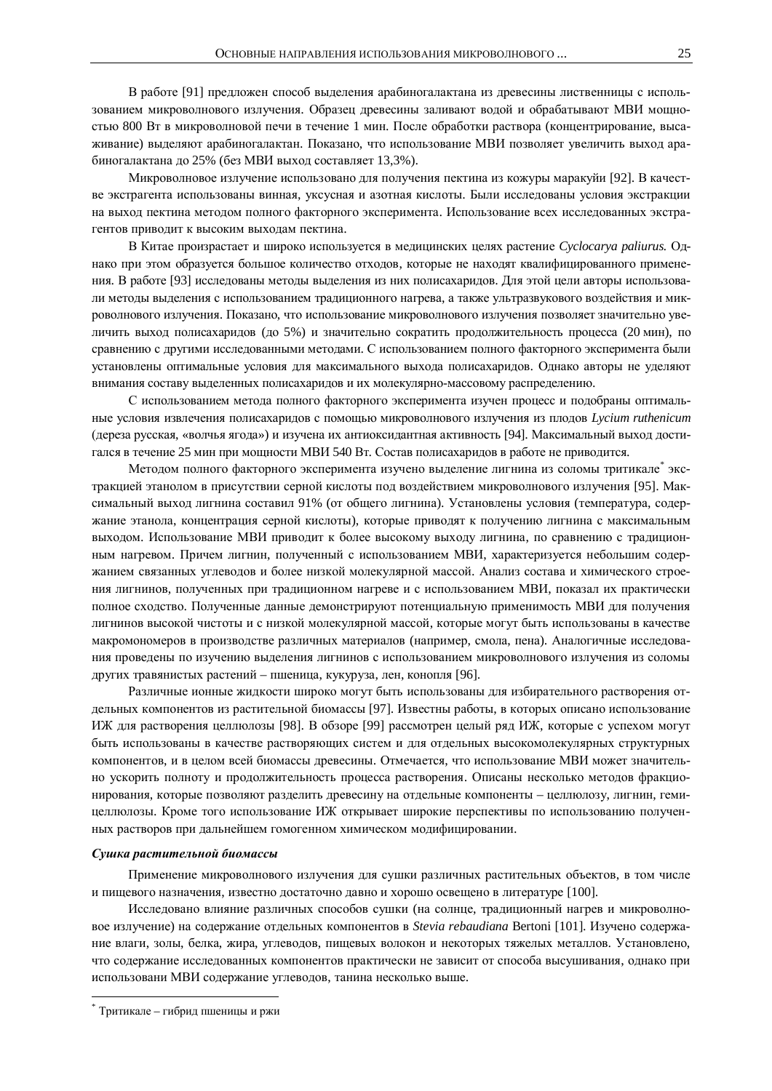В работе [91] предложен способ выделения арабиногалактана из древесины лиственницы с использованием микроволнового излучения. Образец древесины заливают водой и обрабатывают МВИ мощностью 800 Вт в микроволновой печи в течение 1 мин. После обработки раствора (концентрирование, высаживание) выделяют арабиногалактан. Показано, что использование МВИ позволяет увеличить выход арабиногалактана до 25% (без МВИ выход составляет 13,3%).

Микроволновое излучение использовано для получения пектина из кожуры маракуйи [92]. В качестве экстрагента использованы винная, уксусная и азотная кислоты. Были исследованы условия экстракции на выход пектина методом полного факторного эксперимента. Использование всех исследованных экстрагентов приводит к высоким выходам пектина.

В Китае произрастает и широко используется в медицинских целях растение Cyclocarya paliurus. Однако при этом образуется большое количество отходов, которые не находят квалифицированного применения. В работе [93] исследованы методы выделения из них полисахаридов. Для этой цели авторы использовали методы выделения с использованием традиционного нагрева, а также ультразвукового воздействия и микроволнового излучения. Показано, что использование микроволнового излучения позволяет значительно увеличить выход полисахаридов (до 5%) и значительно сократить продолжительность процесса (20 мин), по сравнению с лругими исследованными методами. С использованием полного факторного эксперимента были үстановлены оптимальные условия для максимального выхода полисахаридов. Однако авторы не уделяют внимания составу выделенных полисахаридов и их молекулярно-массовому распределению.

С использованием метода полного факторного эксперимента изучен процесс и подобраны оптимальные условия извлечения полисахаридов с помощью микроволнового излучения из плодов Lycium ruthenicum (дереза русская, «волчья ягода») и изучена их антиоксидантная активность [94]. Максимальный выход достигался в течение 25 мин при мощности МВИ 540 Вт. Состав полисахаридов в работе не приводится.

Методом полного факторного эксперимента изучено выделение лигнина из соломы тритикале\* экстракцией этанолом в присутствии серной кислоты под воздействием микроволнового излучения [95]. Максимальный выход лигнина составил 91% (от общего лигнина). Установлены условия (температура, содержание этанола, концентрация серной кислоты), которые приводят к получению лигнина с максимальным выходом. Использование МВИ приводит к более высокому выходу лигнина, по сравнению с традиционным нагревом. Причем лигнин, полученный с использованием МВИ, характеризуется небольшим содержанием связанных углеводов и более низкой молекулярной массой. Анализ состава и химического строения лигнинов, полученных при традиционном нагреве и с использованием МВИ, показал их практически полное схолство. Полученные данные лемонстрируют потенциальную применимость МВИ для получения лигнинов высокой чистоты и с низкой молекулярной массой, которые могут быть использованы в качестве макромономеров в производстве различных материалов (например, смола, пена). Аналогичные исследования проведены по изучению выделения лигнинов с использованием микроволнового излучения из соломы других травянистых растений – пшеница, кукуруза, лен, конопля [96].

Различные ионные жидкости широко могут быть использованы для избирательного растворения отдельных компонентов из растительной биомассы [97]. Известны работы, в которых описано использование ИЖ для растворения целлюлозы [98]. В обзоре [99] рассмотрен целый ряд ИЖ, которые с успехом могут быть использованы в качестве растворяющих систем и для отдельных высокомолекулярных структурных компонентов, и в целом всей биомассы древесины. Отмечается, что использование МВИ может значительно ускорить полноту и продолжительность процесса растворения. Описаны несколько методов фракционирования, которые позволяют разделить древесину на отдельные компоненты - целлюлозу, лигнин, гемицеллюлозы. Кроме того использование ИЖ открывает широкие перспективы по использованию полученных растворов при дальнейшем гомогенном химическом модифицировании.

#### Сушка растительной биомассы

Применение микроволнового излучения для сушки различных растительных объектов, в том числе и пищевого назначения, известно достаточно давно и хорошо освещено в литературе [100].

Исследовано влияние различных способов сушки (на солнце, традиционный нагрев и микроволновое излучение) на содержание отдельных компонентов в Stevia rebaudiana Bertoni [101]. Изучено содержание влаги, золы, белка, жира, углеводов, пищевых волокон и некоторых тяжелых металлов. Установлено, что содержание исследованных компонентов практически не зависит от способа высушивания, однако при использовани МВИ содержание углеводов, танина несколько выше.

 $\overline{a}$ 

<sup>\*</sup> Тритикале – гибрид пшеницы и ржи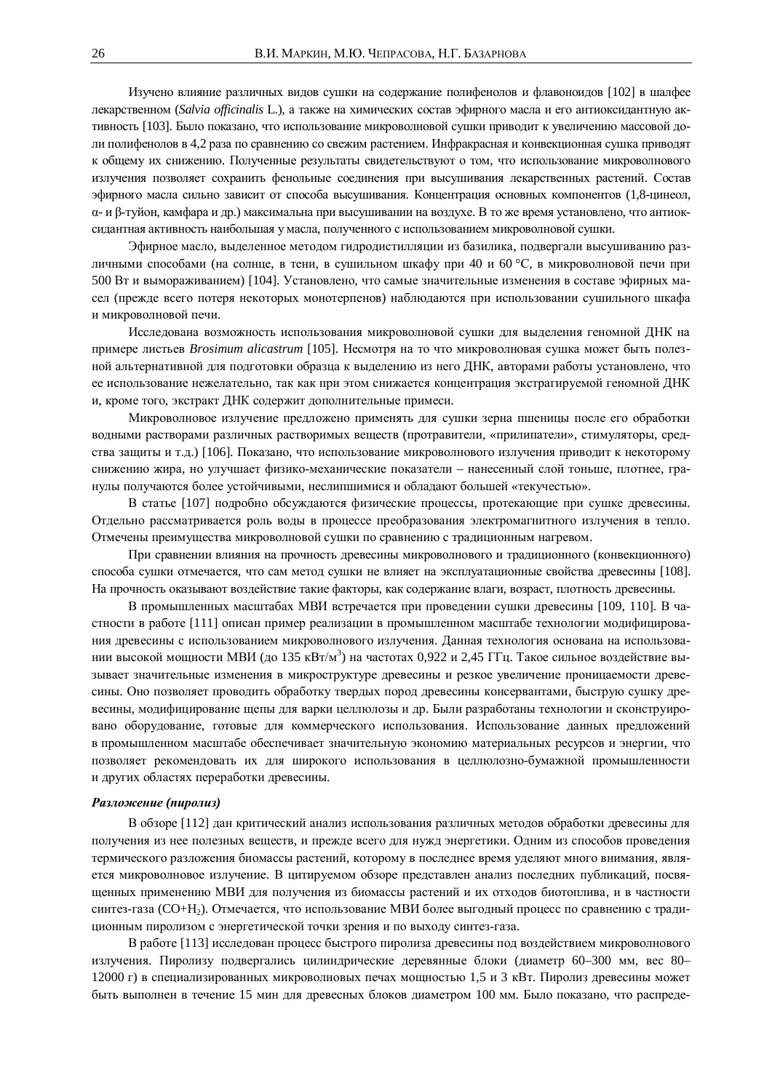Изучено влияние различных видов сушки на содержание полифенолов и флавоноидов [102] в шалфее лекарственном (*Salvia officinalis* L.), а также на химических состав эфирного масла и его антиоксидантную активность [103]. Было показано, что использование микроволновой сушки приводит к увеличению массовой доли полифенолов в 4,2 раза по сравнению со свежим растением. Инфракрасная и конвекционная сушка приводят к общему их снижению. Полученные результаты свидетельствуют о том, что использование микроволнового излучения позволяет сохранить фенольные соединения при высушивания лекарственных растений. Состав эфирного масла сильно зависит от способа высушивания. Концентрация основных компонентов (1,8-цинеол,  $\alpha$ - и  $\beta$ -туйон, камфара и др.) максимальна при высушивании на воздухе. В то же время установлено, что антиоксидантная активность наибольшая у масла, полученного с использованием микроволновой сушки.

Эфирное масло, выделенное методом гидродистилляции из базилика, подвергали высушиванию различными способами (на солнце, в тени, в сушильном шкафу при 40 и 60 °С, в микроволновой печи при 500 Вт и вымораживанием) [104]. Установлено, что самые значительные изменения в составе эфирных масел (прежде всего потеря некоторых монотерпенов) наблюдаются при использовании сушильного шкафа и микроволновой печи.

Исследована возможность использования микроволновой сушки для выделения геномной ДНК на примере листьев Brosimum alicastrum [105]. Несмотря на то что микроволновая сушка может быть полезной альтернативной для подготовки образца к выделению из него ДНК, авторами работы установлено, что ее использование нежелательно, так как при этом снижается концентрация экстрагируемой геномной ДНК и, кроме того, экстракт ДНК содержит дополнительные примеси.

Микроволновое излучение предложено применять для сушки зерна пшеницы после его обработки водными растворами различных растворимых веществ (протравители, «прилипатели», стимуляторы, средства защиты и т.д.) [106]. Показано, что использование микроволнового излучения приводит к некоторому снижению жира, но улучшает физико-механические показатели – нанесенный слой тоньше, плотнее, гранулы получаются более устойчивыми, неслипшимися и обладают большей «текучестью».

В статье [107] подробно обсуждаются физические процессы, протекающие при сушке древесины. Отдельно рассматривается роль воды в процессе преобразования электромагнитного излучения в тепло. Отмечены преимущества микроволновой сушки по сравнению с традиционным нагревом.

При сравнении влияния на прочность древесины микроволнового и традиционного (конвекционного) способа сушки отмечается, что сам метод сушки не влияет на эксплуатационные свойства древесины [108]. На прочность оказывают воздействие такие факторы, как содержание влаги, возраст, плотность древесины.

В промышленных масштабах МВИ встречается при проведении сушки древесины [109, 110]. В частности в работе [111] описан пример реализации в промышленном масштабе технологии модифицирования древесины с использованием микроволнового излучения. Данная технология основана на использовании высокой мощности МВИ (до 135 кВт/м<sup>3</sup>) на частотах 0,922 и 2,45 ГГц. Такое сильное воздействие вызывает значительные изменения в микроструктуре древесины и резкое увеличение проницаемости древесины. Оно позволяет проводить обработку твердых пород древесины консервантами, быструю сушку древесины, модифицирование щепы для варки целлюлозы и др. Были разработаны технологии и сконструировано оборудование, готовые для коммерческого использования. Использование данных предложений в промышленном масштабе обеспечивает значительную экономию материальных ресурсов и энергии, что позволяет рекомендовать их для широкого использования в целлюлозно-бумажной промышленности и других областях переработки древесины.

## **Разложение** (пиролиз)

В обзоре [112] дан критический анализ использования различных методов обработки древесины для получения из нее полезных веществ, и прежде всего для нужд энергетики. Одним из способов проведения термического разложения биомассы растений, которому в последнее время уделяют много внимания, является микроволновое излучение. В цитируемом обзоре представлен анализ последних публикаций, посвященных применению МВИ для получения из биомассы растений и их отходов биотоплива, и в частности синтез-газа (CO+H<sub>2</sub>). Отмечается, что использование МВИ более выгодный процесс по сравнению с традиционным пиролизом с энергетической точки зрения и по выходу синтез-газа.

В работе [113] исследован процесс быстрого пиролиза древесины под воздействием микроволнового излучения. Пиролизу подвергались цилиндрические деревянные блоки (диаметр 60–300 мм, вес 80– 12000 г) в специализированных микроволновых печах мощностью 1,5 и 3 кВт. Пиролиз древесины может быть выполнен в течение 15 мин для древесных блоков диаметром 100 мм. Было показано, что распреде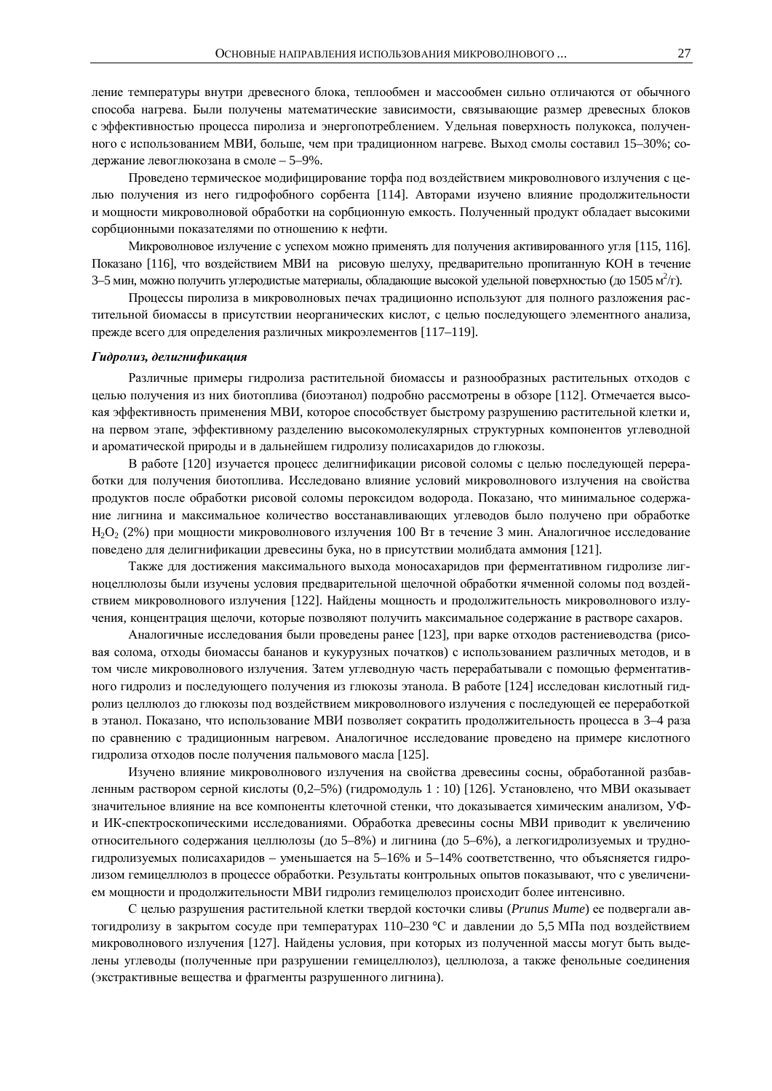ление температуры внутри древесного блока, теплообмен и массообмен сильно отличаются от обычного способа нагрева. Были получены математические зависимости, связывающие размер древесных блоков с эффективностью процесса пиролиза и энергопотреблением. Удельная поверхность полукокса, полученного с использованием МВИ, больше, чем при традиционном нагреве. Выход смолы составил 15–30%; содержание левоглюкозана в смоле – 5–9%.

Проведено термическое модифицирование торфа под воздействием микроволнового излучения с целью получения из него гидрофобного сорбента [114]. Авторами изучено влияние продолжительности и мощности микроволновой обработки на сорбционную емкость. Полученный продукт обладает высокими сорбционными показателями по отношению к нефти.

Микроволновое излучение с успехом можно применять для получения активированного угля [115, 116]. Показано [116], что воздействием МВИ на рисовую шелуху, предварительно пропитанную КОН в течение 3–5 мин, можно получить углеродистые материалы, обладающие высокой удельной поверхностью (до 1505 м<sup>2</sup>/г).

Процессы пиролиза в микроволновых печах традиционно используют для полного разложения растительной биомассы в присутствии неорганических кислот, с целью последующего элементного анализа, прежде всего для определения различных микроэлементов [117-119].

#### $I$ идролиз, делигнификация

Различные примеры гидролиза растительной биомассы и разнообразных растительных отходов с целью получения из них биотоплива (биоэтанол) подробно рассмотрены в обзоре [112]. Отмечается высокая эффективность применения МВИ, которое способствует быстрому разрушению растительной клетки и, на первом этапе, эффективному разделению высокомолекулярных структурных компонентов углеводной и ароматической природы и в дальнейшем гидролизу полисахаридов до глюкозы.

В работе [120] изучается процесс делигнификации рисовой соломы с целью последующей переработки для получения биотоплива. Исследовано влияние условий микроволнового излучения на свойства продуктов после обработки рисовой соломы пероксидом водорода. Показано, что минимальное содержание лигнина и максимальное количество восстанавливающих углеводов было получено при обработке H<sub>2</sub>O<sub>2</sub> (2%) при мощности микроволнового излучения 100 Вт в течение 3 мин. Аналогичное исследование поведено для делигнификации древесины бука, но в присутствии молибдата аммония [121].

Также для достижения максимального выхода моносахаридов при ферментативном гидролизе лигноцеллюлозы были изучены условия предварительной щелочной обработки ячменной соломы под воздействием микроволнового излучения [122]. Найдены мощность и продолжительность микроволнового излучения, концентрация щелочи, которые позволяют получить максимальное содержание в растворе сахаров.

Аналогичные исследования были проведены ранее [123], при варке отходов растениеводства (рисовая солома, отходы биомассы бананов и кукурузных початков) с использованием различных методов, и в том числе микроволнового излучения. Затем углеводную часть перерабатывали с помощью ферментативного гидролиз и последующего получения из глюкозы этанола. В работе [124] исследован кислотный гидролиз целлюлоз до глюкозы под воздействием микроволнового излучения с последующей ее переработкой в этанол. Показано, что использование МВИ позволяет сократить продолжительность процесса в 3–4 раза по сравнению с традиционным нагревом. Аналогичное исследование проведено на примере кислотного гидролиза отходов после получения пальмового масла [125].

Изучено влияние микроволнового излучения на свойства древесины сосны, обработанной разбавленным раствором серной кислоты  $(0,2-5%)$  (гидромодуль 1:10) [126]. Установлено, что МВИ оказывает значительное влияние на все компоненты клеточной стенки, что доказывается химическим анализом, УФи ИК-спектроскопическими исследованиями. Обработка древесины сосны МВИ приводит к увеличению относительного содержания целлюлозы (до 5–8%) и лигнина (до 5–6%), а легкогидролизуемых и трудногидролизуемых полисахаридов – уменьшается на 5–16% и 5–14% соответственно, что объясняется гидролизом гемицеллюлоз в процессе обработки. Результаты контрольных опытов показывают, что с увеличением мощности и продолжительности МВИ гидролиз гемицелюлоз происходит более интенсивно.

С целью разрушения растительной клетки твердой косточки сливы (*Prunus Mume*) ее подвергали автогидролизу в закрытом сосуде при температурах 110–230 °С и давлении до 5,5 МПа под воздействием микроволнового излучения [127]. Найдены условия, при которых из полученной массы могут быть выделены углеводы (полученные при разрушении гемицеллюлоз), целлюлоза, а также фенольные соединения (экстрактивные вещества и фрагменты разрушенного лигнина).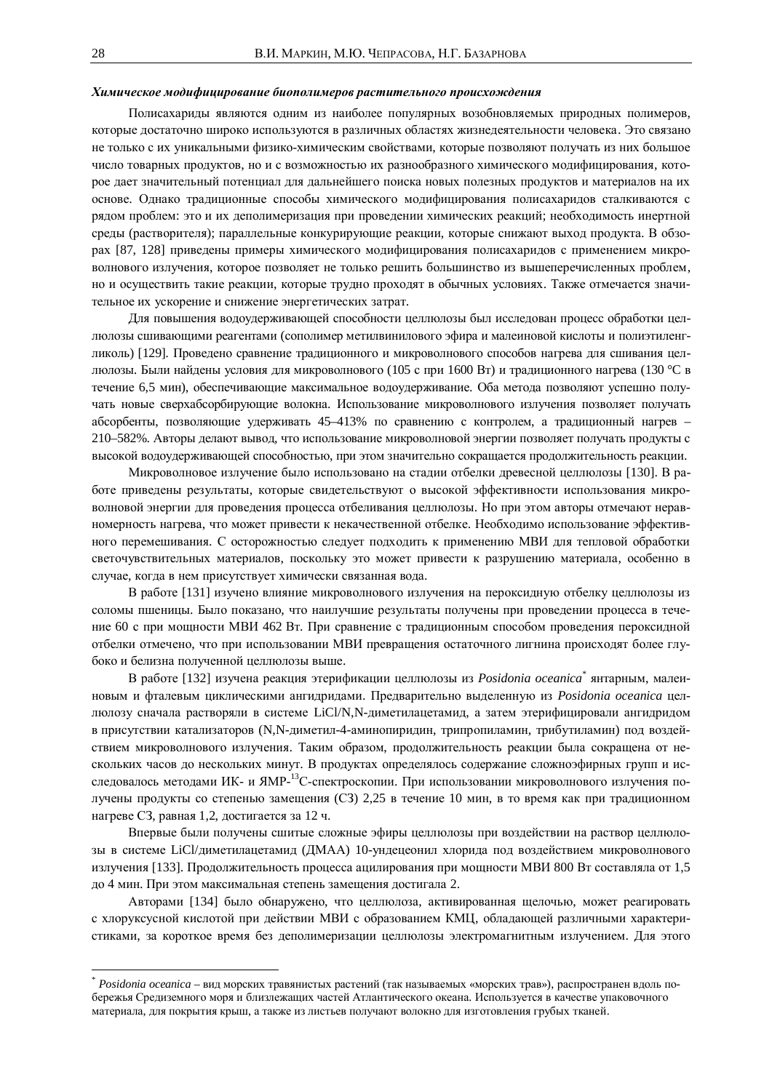### *ɏɢɦɢɱɟɫɤɨɟɦɨɞɢɮɢɰɢɪɨɜɚɧɢɟɛɢɨɩɨɥɢɦɟɪɨɜɪɚɫɬɢɬɟɥɶɧɨɝɨɩɪɨɢɫɯɨɠɞɟɧɢɹ*

Полисахариды являются одним из наиболее популярных возобновляемых природных полимеров, которые достаточно широко используются в различных областях жизнедеятельности человека. Это связано не только с их уникальными физико-химическим свойствами, которые позволяют получать из них большое число товарных продуктов, но и с возможностью их разнообразного химического модифицирования, которое лает значительный потенциал лля лальнейшего поиска новых полезных продуктов и материалов на их основе. Однако традиционные способы химического модифицирования полисахаридов сталкиваются с рядом проблем: это и их деполимеризация при проведении химических реакций; необходимость инертной среды (растворителя); параллельные конкурирующие реакции, которые снижают выход продукта. В обзорах [87, 128] приведены примеры химического модифицирования полисахаридов с применением микроволнового излучения, которое позволяет не только решить большинство из вышеперечисленных проблем, но и осуществить такие реакции, которые трудно проходят в обычных условиях. Также отмечается значительное их ускорение и снижение энергетических затрат.

Для повышения водоудерживающей способности целлюлозы был исследован процесс обработки целлюлозы сшивающими реагентами (сополимер метилвинилового эфира и малеиновой кислоты и полиэтиленгликоль) [129]. Проведено сравнение традиционного и микроволнового способов нагрева для сшивания целлюлозы. Были найдены условия для микроволнового (105 с при 1600 Вт) и традиционного нагрева (130 °С в течение 6,5 мин), обеспечивающие максимальное водоудерживание. Оба метода позволяют успешно получать новые сверхабсорбирующие волокна. Использование микроволнового излучения позволяет получать абсорбенты, позволяющие удерживать 45–413% по сравнению с контролем, а традиционный нагрев – 210–582%. Авторы делают вывод, что использование микроволновой энергии позволяет получать продукты с высокой водоудерживающей способностью, при этом значительно сокращается продолжительность реакции.

Микроволновое излучение было использовано на стадии отбелки древесной целлюлозы [130]. В работе приведены результаты, которые свидетельствуют о высокой эффективности использования микроволновой энергии для проведения процесса отбеливания целлюлозы. Но при этом авторы отмечают неравномерность нагрева, что может привести к некачественной отбелке. Необходимо использование эффективного перемешивания. С осторожностью следует подходить к применению МВИ для тепловой обработки светочувствительных материалов, поскольку это может привести к разрушению материала, особенно в случае, когда в нем присутствует химически связанная вода.

В работе [131] изучено влияние микроволнового излучения на пероксидную отбелку целлюлозы из соломы пшеницы. Было показано, что наилучшие результаты получены при проведении процесса в течение 60 с при мощности МВИ 462 Вт. При сравнение с традиционным способом проведения пероксидной отбелки отмечено, что при использовании МВИ превращения остаточного лигнина происходят более глубоко и белизна полученной целлюлозы выше.

В работе [132] изучена реакция этерификации целлюлозы из Posidonia oceanica<sup>\*</sup> янтарным, малеиновым и фталевым циклическими ангидридами. Предварительно выделенную из Posidonia oceanica целлюлозу сначала растворяли в системе LiCl/N,N-диметилацетамид, а затем этерифицировали ангидридом в присутствии катализаторов (N,N-диметил-4-аминопиридин, трипропиламин, трибутиламин) под воздействием микроволнового излучения. Таким образом, продолжительность реакции была сокращена от нескольких часов до нескольких минут. В продуктах определялось содержание сложноэфирных групп и исследовалось методами ИК- и ЯМР-<sup>13</sup>С-спектроскопии. При использовании микроволнового излучения получены продукты со степенью замещения (СЗ) 2,25 в течение 10 мин, в то время как при традиционном нагреве СЗ, равная 1,2, достигается за 12 ч.

Впервые были получены сшитые сложные эфиры целлюлозы при воздействии на раствор целлюлозы в системе LiCl/диметилацетамид (ДМАА) 10-ундецеонил хлорида под воздействием микроволнового излучения [133]. Продолжительность процесса ацилирования при мощности МВИ 800 Вт составляла от 1,5 до 4 мин. При этом максимальная степень замещения достигала 2.

Авторами [134] было обнаружено, что целлюлоза, активированная щелочью, может реагировать с хлоруксусной кислотой при действии МВИ с образованием КМЦ, обладающей различными характеристиками, за короткое время без деполимеризации целлюлозы электромагнитным излучением. Для этого

 $\overline{a}$ 

*Posidonia oceanica* – вид морских травянистых растений (так называемых «морских трав»), распространен вдоль побережья Средиземного моря и близлежащих частей Атлантического океана. Используется в качестве упаковочного материала, для покрытия крыш, а также из листьев получают волокно для изготовления грубых тканей.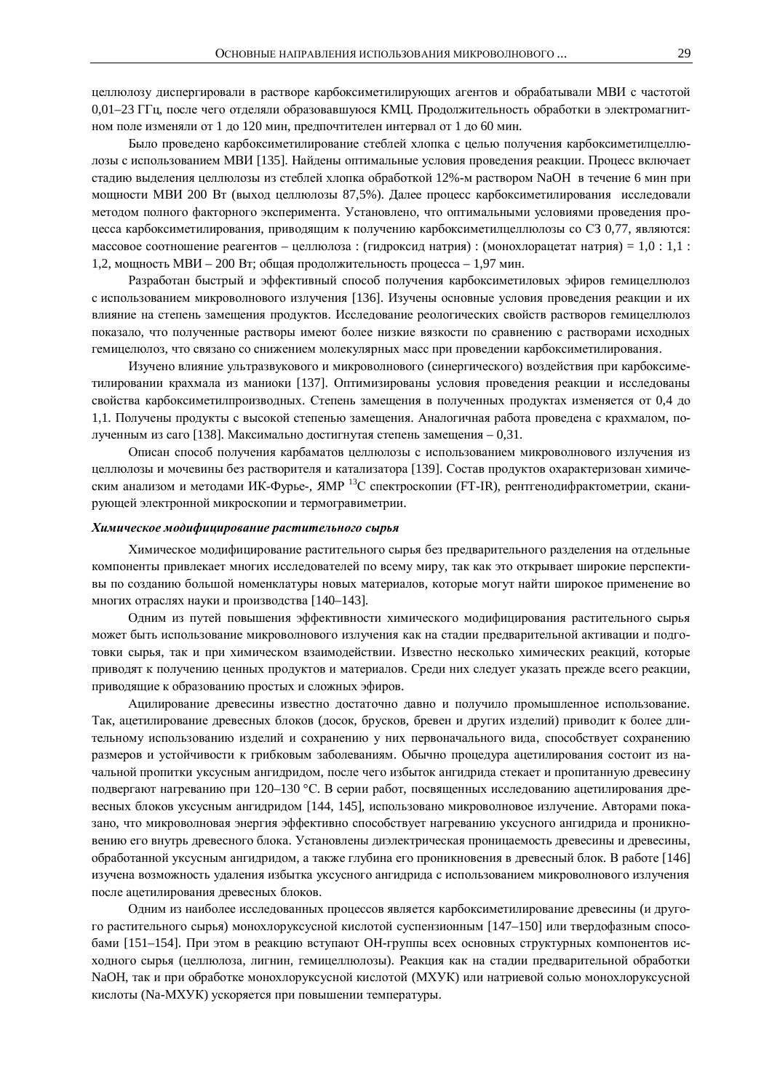целлюлозу диспергировали в растворе карбоксиметилирующих агентов и обрабатывали МВИ с частотой 0,01–23 ГГц, после чего отделяли образовавшуюся КМЦ. Продолжительность обработки в электромагнитном поле изменяли от 1 до 120 мин, предпочтителен интервал от 1 до 60 мин.

Было проведено карбоксиметилирование стеблей хлопка с целью получения карбоксиметилцеллюлозы с использованием МВИ [135]. Найдены оптимальные условия проведения реакции. Процесс включает стадию выделения целлюлозы из стеблей хлопка обработкой 12%-м раствором NaOH в течение 6 мин при мощности МВИ 200 Вт (выход целлюлозы 87,5%). Далее процесс карбоксиметилирования исследовали методом полного факторного эксперимента. Установлено, что оптимальными условиями проведения процесса карбоксиметилирования, приводящим к получению карбоксиметилцеллюлозы со СЗ 0,77, являются: массовое соотношение реагентов – целлюлоза: (гидроксид натрия): (монохлорацетат натрия) = 1,0 : 1,1 : 1,2, мощность МВИ – 200 Вт; общая продолжительность процесса – 1,97 мин.

Разработан быстрый и эффективный способ получения карбоксиметиловых эфиров гемицеллюлоз с использованием микроволнового излучения [136]. Изучены основные условия проведения реакции и их влияние на степень замещения продуктов. Исследование реологических свойств растворов гемицеллюлоз показало, что полученные растворы имеют более низкие вязкости по сравнению с растворами исходных гемицелюлоз, что связано со снижением молекулярных масс при провелении карбоксиметилирования.

Изучено влияние ультразвукового и микроволнового (синергического) воздействия при карбоксиметилировании крахмала из маниоки [137]. Оптимизированы условия проведения реакции и исследованы свойства карбоксиметилпроизводных. Степень замещения в полученных продуктах изменяется от 0,4 до 1,1. Получены продукты с высокой степенью замещения. Аналогичная работа проведена с крахмалом, полученным из саго [138]. Максимально достигнутая степень замещения – 0,31.

Описан способ получения карбаматов целлюлозы с использованием микроволнового излучения из целлюлозы и мочевины без растворителя и катализатора [139]. Состав продуктов охарактеризован химическим анализом и методами ИК-Фурье-, ЯМР<sup>13</sup>С спектроскопии (FT-IR), рентгенодифрактометрии, сканирующей электронной микроскопии и термогравиметрии.

#### *ɏɢɦɢɱɟɫɤɨɟɦɨɞɢɮɢɰɢɪɨɜɚɧɢɟɪɚɫɬɢɬɟɥɶɧɨɝɨɫɵɪɶɹ*

Химическое модифицирование растительного сырья без предварительного разделения на отдельные компоненты привлекает многих исследователей по всему миру, так как это открывает широкие перспективы по созданию большой номенклатуры новых материалов, которые могут найти широкое применение во многих отраслях науки и производства [140–143].

Одним из путей повышения эффективности химического модифицирования растительного сырья может быть использование микроволнового излучения как на стадии предварительной активации и подготовки сырья, так и при химическом взаимодействии. Известно несколько химических реакций, которые приводят к получению ценных продуктов и материалов. Среди них следует указать прежде всего реакции, приводящие к образованию простых и сложных эфиров.

Ацилирование древесины известно достаточно давно и получило промышленное использование. Так, ацетилирование древесных блоков (досок, брусков, бревен и других изделий) приводит к более длительному использованию изделий и сохранению у них первоначального вида, способствует сохранению размеров и устойчивости к грибковым заболеваниям. Обычно процедура ацетилирования состоит из начальной пропитки уксусным ангидридом, после чего избыток ангидрида стекает и пропитанную древесину подвергают нагреванию при 120–130 °С. В серии работ, посвященных исследованию ацетилирования древесных блоков уксусным ангидридом [144, 145], использовано микроволновое излучение. Авторами показано, что микроволновая энергия эффективно способствует нагреванию уксусного ангидрида и проникновению его внутрь древесного блока. Установлены диэлектрическая проницаемость древесины и древесины, обработанной уксусным ангидридом, а также глубина его проникновения в древесный блок. В работе [146] изучена возможность удаления избытка уксусного ангидрида с использованием микроволнового излучения после ацетилирования древесных блоков.

Одним из наиболее исследованных процессов является карбоксиметилирование древесины (и другого растительного сырья) монохлоруксусной кислотой суспензионным [147–150] или твердофазным способами [151–154]. При этом в реакцию вступают ОН-группы всех основных структурных компонентов исходного сырья (целлюлоза, лигнин, гемицеллюлозы). Реакция как на стадии предварительной обработки NaOH, так и при обработке монохлоруксусной кислотой (МХУК) или натриевой солью монохлоруксусной кислоты (Na-MXУК) ускоряется при повышении температуры.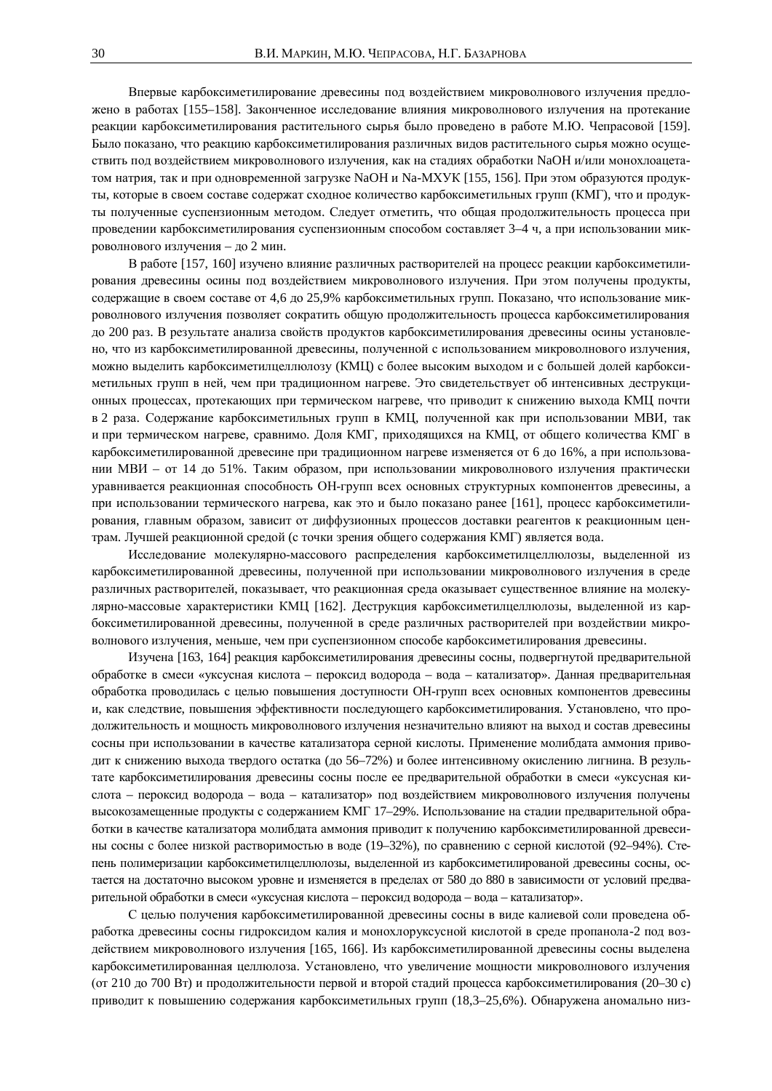Впервые карбоксиметилирование древесины под воздействием микроволнового излучения предложено в работах [155–158]. Законченное исследование влияния микроволнового излучения на протекание реакции карбоксиметилирования растительного сырья было проведено в работе М.Ю. Чепрасовой [159]. Было показано, что реакцию карбоксиметилирования различных видов растительного сырья можно осуществить под воздействием микроволнового излучения, как на стадиях обработки NaOH и/или монохлоацетатом натрия, так и при одновременной загрузке NaOH и Na-MXУК [155, 156]. При этом образуются продукты, которые в своем составе содержат сходное количество карбоксиметильных групп (КМГ), что и продукты полученные суспензионным методом. Следует отметить, что общая продолжительность процесса при проведении карбоксиметилирования суспензионным способом составляет 3–4 ч, а при использовании микроволнового излучения - до 2 мин.

В работе [157, 160] изучено влияние различных растворителей на процесс реакции карбоксиметилирования древесины осины под воздействием микроволнового излучения. При этом получены продукты, содержащие в своем составе от 4,6 до 25,9% карбоксиметильных групп. Показано, что использование микроволнового излучения позволяет сократить общую продолжительность процесса карбоксиметилирования до 200 раз. В результате анализа свойств продуктов карбоксиметилирования древесины осины установлено, что из карбоксиметилированной древесины, полученной с использованием микроволнового излучения, можно выделить карбоксиметилцеллюлозу (КМЦ) с более высоким выходом и с большей долей карбоксиметильных групп в ней, чем при традиционном нагреве. Это свидетельствует об интенсивных деструкционных процессах, протекающих при термическом нагреве, что приводит к снижению выхода КМЦ почти в 2 раза. Содержание карбоксиметильных групп в КМЦ, полученной как при использовании МВИ, так и при термическом нагреве, сравнимо. Доля КМГ, приходящихся на КМЦ, от общего количества КМГ в карбоксиметилированной древесине при традиционном нагреве изменяется от 6 до 16%, а при использовании МВИ – от 14 до 51%. Таким образом, при использовании микроволнового излучения практически уравнивается реакционная способность ОН-групп всех основных структурных компонентов древесины, а при использовании термического нагрева, как это и было показано ранее [161], процесс карбоксиметилирования, главным образом, зависит от диффузионных процессов доставки реагентов к реакционным центрам. Лучшей реакционной средой (с точки зрения общего содержания КМГ) является вода.

Исследование молекулярно-массового распределения карбоксиметилцеллюлозы, выделенной из карбоксиметилированной древесины, полученной при использовании микроволнового излучения в среде различных растворителей, показывает, что реакционная среда оказывает существенное влияние на молекулярно-массовые характеристики КМЦ [162]. Деструкция карбоксиметилцеллюлозы, выделенной из карбоксиметилированной древесины, полученной в среде различных растворителей при воздействии микроволнового излучения, меньше, чем при суспензионном способе карбоксиметилирования древесины.

Изучена [163, 164] реакция карбоксиметилирования древесины сосны, подвергнутой предварительной обработке в смеси «уксусная кислота – пероксид водорода – вода – катализатор». Данная предварительная обработка проводилась с целью повышения доступности ОН-групп всех основных компонентов древесины и, как следствие, повышения эффективности последующего карбоксиметилирования. Установлено, что продолжительность и мощность микроволнового излучения незначительно влияют на выход и состав древесины сосны при использовании в качестве катализатора серной кислоты. Применение молибдата аммония приводит к снижению выхода твердого остатка (до 56–72%) и более интенсивному окислению лигнина. В результате карбоксиметилирования древесины сосны после ее предварительной обработки в смеси «уксусная кислота – пероксид водорода – вода – катализатор» под воздействием микроволнового излучения получены высокозамещенные продукты с содержанием КМГ 17–29%. Использование на стадии предварительной обработки в качестве катализатора молибдата аммония приводит к получению карбоксиметилированной древесины сосны с более низкой растворимостью в воде (19–32%), по сравнению с серной кислотой (92–94%). Степень полимеризации карбоксиметилцеллюлозы, выделенной из карбоксиметилированой древесины сосны, остается на достаточно высоком уровне и изменяется в пределах от 580 до 880 в зависимости от условий предварительной обработки в смеси «уксусная кислота – пероксид водорода – вода – катализатор».

С целью получения карбоксиметилированной древесины сосны в виде калиевой соли проведена обработка древесины сосны гидроксидом калия и монохлоруксусной кислотой в среде пропанола-2 под воздействием микроволнового излучения [165, 166]. Из карбоксиметилированной древесины сосны выделена карбоксиметилированная целлюлоза. Установлено, что увеличение мощности микроволнового излучения (от 210 до 700 Вт) и продолжительности первой и второй стадий процесса карбоксиметилирования (20–30 с) приводит к повышению содержания карбоксиметильных групп (18,3–25,6%). Обнаружена аномально низ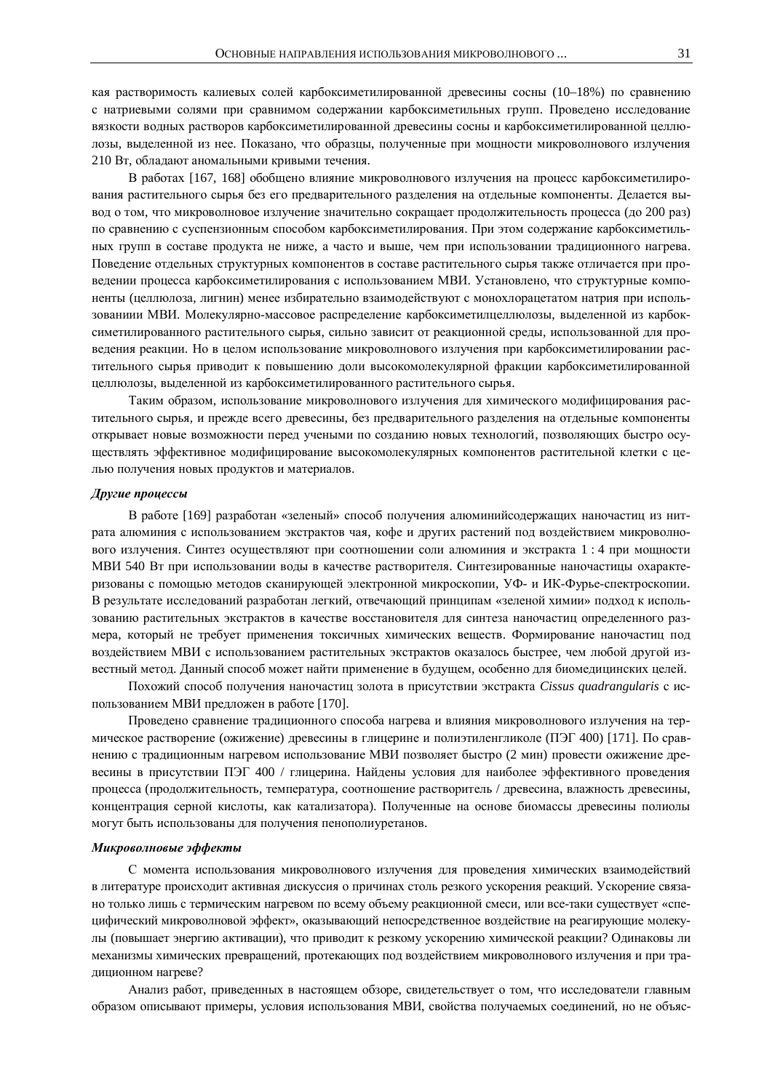кая растворимость калиевых солей карбоксиметилированной древесины сосны (10–18%) по сравнению с натриевыми солями при сравнимом содержании карбоксиметильных групп. Проведено исследование вязкости водных растворов карбоксиметилированной древесины сосны и карбоксиметилированной целлюлозы, выделенной из нее. Показано, что образцы, полученные при мощности микроволнового излучения 210 Вт, обладают аномальными кривыми течения.

В работах [167, 168] обобщено влияние микроволнового излучения на процесс карбоксиметилирования растительного сырья без его предварительного разделения на отдельные компоненты. Делается вывод о том, что микроволновое излучение значительно сокращает продолжительность процесса (до 200 раз) по сравнению с суспензионным способом карбоксиметилирования. При этом содержание карбоксиметильных групп в составе продукта не ниже, а часто и выше, чем при использовании традиционного нагрева. Поведение отдельных структурных компонентов в составе растительного сырья также отличается при проведении процесса карбоксиметилирования с использованием МВИ. Установлено, что структурные компоненты (целлюлоза, лигнин) менее избирательно взаимодействуют с монохлорацетатом натрия при использованиии МВИ. Молекулярно-массовое распределение карбоксиметилцеллюлозы, выделенной из карбоксиметилированного растительного сырья, сильно зависит от реакционной среды, использованной для провеления реакции. Но в целом использование микроволнового излучения при карбоксиметилировании растительного сырья приводит к повышению доли высокомолекулярной фракции карбоксиметилированной целлюлозы, выделенной из карбоксиметилированного растительного сырья.

Таким образом, использование микроволнового излучения для химического модифицирования растительного сырья, и прежде всего древесины, без предварительного разделения на отдельные компоненты открывает новые возможности перед учеными по созданию новых технологий, позволяющих быстро осуществлять эффективное модифицирование высокомолекулярных компонентов растительной клетки с целью получения новых продуктов и материалов.

#### **Другие процессы**

В работе [169] разработан «зеленый» способ получения алюминийсодержащих наночастиц из нитрата алюминия с использованием экстрактов чая, кофе и других растений под воздействием микроволнового излучения. Синтез осуществляют при соотношении соли алюминия и экстракта 1:4 при мощности МВИ 540 Вт при использовании воды в качестве растворителя. Синтезированные наночастицы охарактеризованы с помощью методов сканирующей электронной микроскопии, УФ- и ИК-Фурье-спектроскопии. В результате исследований разработан легкий, отвечающий принципам «зеленой химии» подход к использованию растительных экстрактов в качестве восстановителя для синтеза наночастиц определенного размера, который не требует применения токсичных химических веществ. Формирование наночастиц под воздействием МВИ с использованием растительных экстрактов оказалось быстрее, чем любой другой известный метод. Данный способ может найти применение в будущем, особенно для биомедицинских целей.

Похожий способ получения наночастиц золота в присутствии экстракта Cissus quadrangularis с использованием МВИ предложен в работе [170].

Проведено сравнение традиционного способа нагрева и влияния микроволнового излучения на термическое растворение (ожижение) древесины в глицерине и полиэтиленгликоле (ПЭГ 400) [171]. По сравнению с традиционным нагревом использование МВИ позволяет быстро (2 мин) провести ожижение древесины в присутствии ПЭГ 400 / глицерина. Найдены условия для наиболее эффективного проведения процесса (продолжительность, температура, соотношение растворитель / древесина, влажность древесины, концентрация серной кислоты, как катализатора). Полученные на основе биомассы древесины полиолы могут быть использованы для получения пенополиуретанов.

# Микроволновые эффекты

С момента использования микроволнового излучения для проведения химических взаимодействий в литературе происходит активная дискуссия о причинах столь резкого ускорения реакций. Ускорение связано только лишь с термическим нагревом по всему объему реакционной смеси, или все-таки существует «специфический микроволновой эффект», оказывающий непосредственное воздействие на реагирующие молекулы (повышает энергию активации), что приводит к резкому ускорению химической реакции? Одинаковы ли механизмы химических превращений, протекающих под воздействием микроволнового излучения и при традиционном нагреве?

Анализ работ, приведенных в настоящем обзоре, свидетельствует о том, что исследователи главным образом описывают примеры, условия использования МВИ, свойства получаемых соединений, но не объяс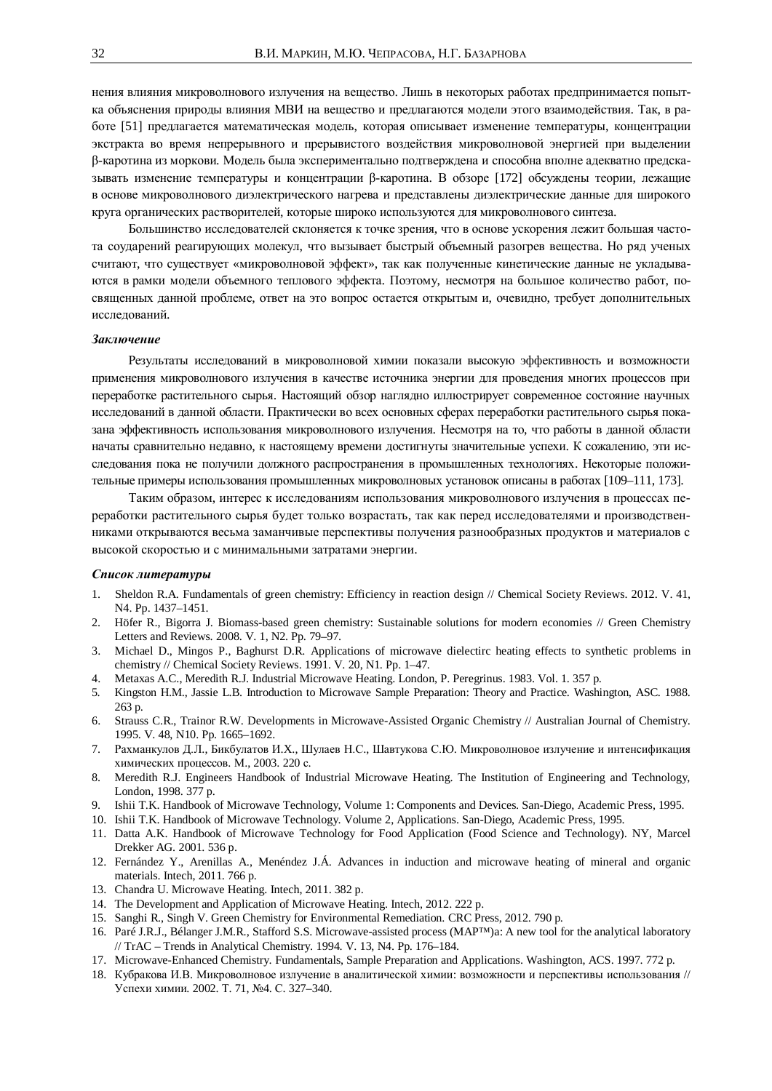нения влияния микроволнового излучения на вещество. Лишь в некоторых работах предпринимается попытка объяснения природы влияния МВИ на вещество и предлагаются модели этого взаимодействия. Так, в работе [51] предлагается математическая модель, которая описывает изменение температуры, концентрации экстракта во время непрерывного и прерывистого воздействия микроволновой энергией при выделении β-каротина из моркови. Модель была экспериментально подтверждена и способна вполне адекватно предсказывать изменение температуры и концентрации β-каротина. В обзоре [172] обсуждены теории, лежащие в основе микроволнового диэлектрического нагрева и представлены диэлектрические данные для широкого круга органических растворителей, которые широко используются для микроволнового синтеза.

Большинство исследователей склоняется к точке зрения, что в основе ускорения лежит большая частота соударений реагирующих молекул, что вызывает быстрый объемный разогрев вещества. Но ряд ученых считают, что существует «микроволновой эффект», так как полученные кинетические данные не укладываются в рамки модели объемного теплового эффекта. Поэтому, несмотря на большое количество работ, посвященных данной проблеме, ответ на это вопрос остается открытым и, очевидно, требует дополнительных исследований.

#### Заключение

Результаты исследований в микроволновой химии показали высокую эффективность и возможности применения микроволнового излучения в качестве источника энергии для проведения многих процессов при переработке растительного сырья. Настоящий обзор наглядно иллюстрирует современное состояние научных исследований в данной области. Практически во всех основных сферах переработки растительного сырья показана эффективность использования микроволнового излучения. Несмотря на то, что работы в данной области начаты сравнительно недавно, к настоящему времени достигнуты значительные успехи. К сожалению, эти исследования пока не получили должного распространения в промышленных технологиях. Некоторые положительные примеры использования промышленных микроволновых установок описаны в работах [109–111, 173].

Таким образом, интерес к исследованиям использования микроволнового излучения в процессах переработки растительного сырья будет только возрастать, так как перед исследователями и производственниками открываются весьма заманчивые перспективы получения разнообразных продуктов и материалов с высокой скоростью и с минимальными затратами энергии.

# Список литературы

- 1. Sheldon R.A. Fundamentals of green chemistry: Efficiency in reaction design // Chemical Society Reviews. 2012. V. 41, N4. Pp. 1437–1451.
- 2. Höfer R., Bigorra J. Biomass-based green chemistry: Sustainable solutions for modern economies // Green Chemistry Letters and Reviews. 2008. V. 1, N2. Pp. 79–97.
- 3. Michael D., Mingos P., Baghurst D.R. Applications of microwave dielectirc heating effects to synthetic problems in chemistry // Chemical Society Reviews. 1991. V. 20, N1. Pp. 1–47.
- 4. Metaxas A.C., Meredith R.J. Industrial Microwave Heating. London, P. Peregrinus. 1983. Vol. 1. 357 p.
- 5. Kingston H.M., Jassie L.B. Introduction to Microwave Sample Preparation: Theory and Practice. Washington, ASC. 1988. 263 p.
- 6. Strauss C.R., Trainor R.W. Developments in Microwave-Assisted Organic Chemistry // Australian Journal of Chemistry. 1995. V. 48, N10. Pp. 1665–1692.
- 7. Рахманкулов Д.Л., Бикбулатов И.Х., Шулаев Н.С., Шавтукова С.Ю. Микроволновое излучение и интенсификация химических процессов. М., 2003. 220 с.
- 8. Meredith R.J. Engineers Handbook of Industrial Microwave Heating. The Institution of Engineering and Technology, London, 1998. 377 p.
- 9. Ishii T.K. Handbook of Microwave Technology, Volume 1: Components and Devices. San-Diego, Academic Press, 1995.
- 10. Ishii T.K. Handbook of Microwave Technology. Volume 2, Applications. San-Diego, Academic Press, 1995.
- 11. Datta A.K. Handbook of Microwave Technology for Food Application (Food Science and Technology). NY, Marcel Drekker AG. 2001. 536 p.
- 12. Fernández Y., Arenillas A., Menéndez J.Á. Advances in induction and microwave heating of mineral and organic materials. Intech, 2011. 766 p.
- 13. Chandra U. Microwave Heating. Intech, 2011. 382 p.
- 14. The Development and Application of Microwave Heating. Intech, 2012. 222 p.
- 15. Sanghi R., Singh V. Green Chemistry for Environmental Remediation. CRC Press, 2012. 790 p.
- 16. Paré J.R.J., Bélanger J.M.R., Stafford S.S. Microwave-assisted process (MAP™)a: A new tool for the analytical laboratory // TrAC – Trends in Analytical Chemistry. 1994. V. 13, N4. Pp. 176–184.
- 17. Microwave-Enhanced Chemistry. Fundamentals, Sample Preparation and Applications. Washington, ACS. 1997. 772 p.
- 18. Кубракова И.В. Микроволновое излучение в аналитической химии: возможности и перспективы использования // Успехи химии. 2002. Т. 71, №4. С. 327-340.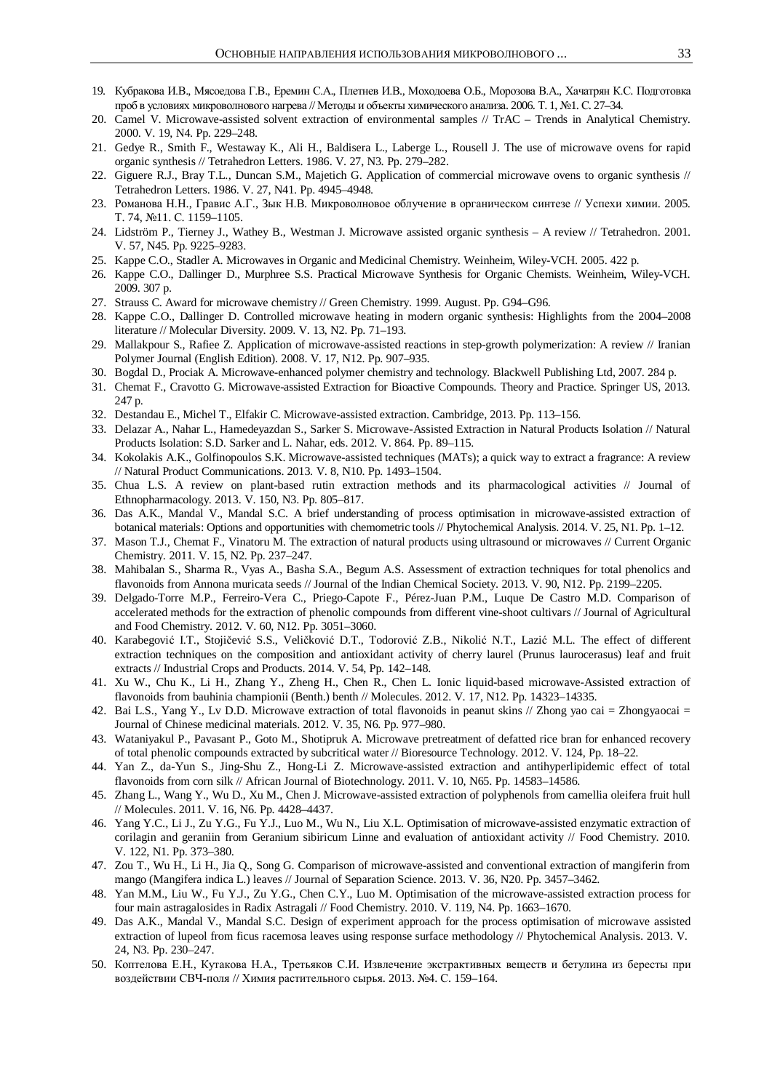- 19. Кубракова И.В., Мясоедова Г.В., Еремин С.А., Плетнев И.В., Моходоева О.Б., Морозова В.А., Хачатрян К.С. Подготовка проб в условиях микроволнового нагрева // Методы и объекты химического анализа. 2006. Т. 1, №1. С. 27–34.
- 20. Camel V. Microwave-assisted solvent extraction of environmental samples // TrAC Trends in Analytical Chemistry. 2000. V. 19, N4. Pp. 229–248.
- 21. Gedye R., Smith F., Westaway K., Ali H., Baldisera L., Laberge L., Rousell J. The use of microwave ovens for rapid organic synthesis // Tetrahedron Letters. 1986. V. 27, N3. Pp. 279–282.
- 22. Giguere R.J., Bray T.L., Duncan S.M., Majetich G. Application of commercial microwave ovens to organic synthesis // Tetrahedron Letters. 1986. V. 27, N41. Pp. 4945–4948.
- 23. Романова Н.Н., Гравис А.Г., Зык Н.В. Микроволновое облучение в органическом синтезе // Успехи химии. 2005. T. 74, №11. C. 1159-1105.
- 24. Lidström P., Tierney J., Wathey B., Westman J. Microwave assisted organic synthesis A review // Tetrahedron. 2001. V. 57, N45. Pp. 9225–9283.
- 25. Kappe C.O., Stadler A. Microwaves in Organic and Medicinal Chemistry. Weinheim, Wiley-VCH. 2005. 422 p.
- 26. Kappe C.O., Dallinger D., Murphree S.S. Practical Microwave Synthesis for Organic Chemists. Weinheim, Wiley-VCH. 2009. 307 p.
- 27. Strauss C. Award for microwave chemistry // Green Chemistry. 1999. August. Pp. G94–G96.
- 28. Kappe C.O., Dallinger D. Controlled microwave heating in modern organic synthesis: Highlights from the 2004–2008 literature // Molecular Diversity. 2009. V. 13, N2. Pp. 71–193.
- 29. Mallakpour S., Rafiee Z. Application of microwave-assisted reactions in step-growth polymerization: A review // Iranian Polymer Journal (English Edition). 2008. V. 17, N12. Pp. 907–935.
- 30. Bogdal D., Prociak A. Microwave-enhanced polymer chemistry and technology. Blackwell Publishing Ltd, 2007. 284 p.
- 31. Chemat F., Cravotto G. Microwave-assisted Extraction for Bioactive Compounds. Theory and Practice. Springer US, 2013. 247 p.
- 32. Destandau E., Michel T., Elfakir C. Microwave-assisted extraction. Cambridge, 2013. Pp. 113–156.
- 33. Delazar A., Nahar L., Hamedeyazdan S., Sarker S. Microwave-Assisted Extraction in Natural Products Isolation // Natural Products Isolation: S.D. Sarker and L. Nahar, eds. 2012. V. 864. Pp. 89–115.
- 34. Kokolakis A.K., Golfinopoulos S.K. Microwave-assisted techniques (MATs); a quick way to extract a fragrance: A review // Natural Product Communications. 2013. V. 8, N10. Pp. 1493–1504.
- 35. Chua L.S. A review on plant-based rutin extraction methods and its pharmacological activities // Journal of Ethnopharmacology. 2013. V. 150, N3. Pp. 805–817.
- 36. Das A.K., Mandal V., Mandal S.C. A brief understanding of process optimisation in microwave-assisted extraction of botanical materials: Options and opportunities with chemometric tools // Phytochemical Analysis. 2014. V. 25, N1. Pp. 1–12.
- 37. Mason T.J., Chemat F., Vinatoru M. The extraction of natural products using ultrasound or microwaves // Current Organic Chemistry. 2011. V. 15, N2. Pp. 237–247.
- 38. Mahibalan S., Sharma R., Vyas A., Basha S.A., Begum A.S. Assessment of extraction techniques for total phenolics and flavonoids from Annona muricata seeds // Journal of the Indian Chemical Society. 2013. V. 90, N12. Pp. 2199–2205.
- 39. Delgado-Torre M.P., Ferreiro-Vera C., Priego-Capote F., Pérez-Juan P.M., Luque De Castro M.D. Comparison of accelerated methods for the extraction of phenolic compounds from different vine-shoot cultivars // Journal of Agricultural and Food Chemistry. 2012. V. 60, N12. Pp. 3051–3060.
- 40. Karabegović I.T., Stojičević S.S., Veličković D.T., Todorović Z.B., Nikolić N.T., Lazić M.L. The effect of different extraction techniques on the composition and antioxidant activity of cherry laurel (Prunus laurocerasus) leaf and fruit extracts // Industrial Crops and Products. 2014. V. 54, Pp. 142–148.
- 41. Xu W., Chu K., Li H., Zhang Y., Zheng H., Chen R., Chen L. Ionic liquid-based microwave-Assisted extraction of flavonoids from bauhinia championii (Benth.) benth // Molecules. 2012. V. 17, N12. Pp. 14323–14335.
- 42. Bai L.S., Yang Y., Lv D.D. Microwave extraction of total flavonoids in peanut skins // Zhong yao cai = Zhongyaocai = Journal of Chinese medicinal materials. 2012. V. 35, N6. Pp. 977–980.
- 43. Wataniyakul P., Pavasant P., Goto M., Shotipruk A. Microwave pretreatment of defatted rice bran for enhanced recovery of total phenolic compounds extracted by subcritical water // Bioresource Technology. 2012. V. 124, Pp. 18–22.
- 44. Yan Z., da-Yun S., Jing-Shu Z., Hong-Li Z. Microwave-assisted extraction and antihyperlipidemic effect of total flavonoids from corn silk // African Journal of Biotechnology. 2011. V. 10, N65. Pp. 14583–14586.
- 45. Zhang L., Wang Y., Wu D., Xu M., Chen J. Microwave-assisted extraction of polyphenols from camellia oleifera fruit hull // Molecules. 2011. V. 16, N6. Pp. 4428–4437.
- 46. Yang Y.C., Li J., Zu Y.G., Fu Y.J., Luo M., Wu N., Liu X.L. Optimisation of microwave-assisted enzymatic extraction of corilagin and geraniin from Geranium sibiricum Linne and evaluation of antioxidant activity // Food Chemistry. 2010. V. 122, N1. Pp. 373–380.
- 47. Zou T., Wu H., Li H., Jia Q., Song G. Comparison of microwave-assisted and conventional extraction of mangiferin from mango (Mangifera indica L.) leaves // Journal of Separation Science. 2013. V. 36, N20. Pp. 3457–3462.
- 48. Yan M.M., Liu W., Fu Y.J., Zu Y.G., Chen C.Y., Luo M. Optimisation of the microwave-assisted extraction process for four main astragalosides in Radix Astragali // Food Chemistry. 2010. V. 119, N4. Pp. 1663–1670.
- 49. Das A.K., Mandal V., Mandal S.C. Design of experiment approach for the process optimisation of microwave assisted extraction of lupeol from ficus racemosa leaves using response surface methodology // Phytochemical Analysis. 2013. V. 24, N3. Pp. 230–247.
- 50. Коптелова Е.Н., Кутакова Н.А., Третьяков С.И. Извлечение экстрактивных веществ и бетулина из бересты при воздействии СВЧ-поля // Химия растительного сырья. 2013. №4. С. 159-164.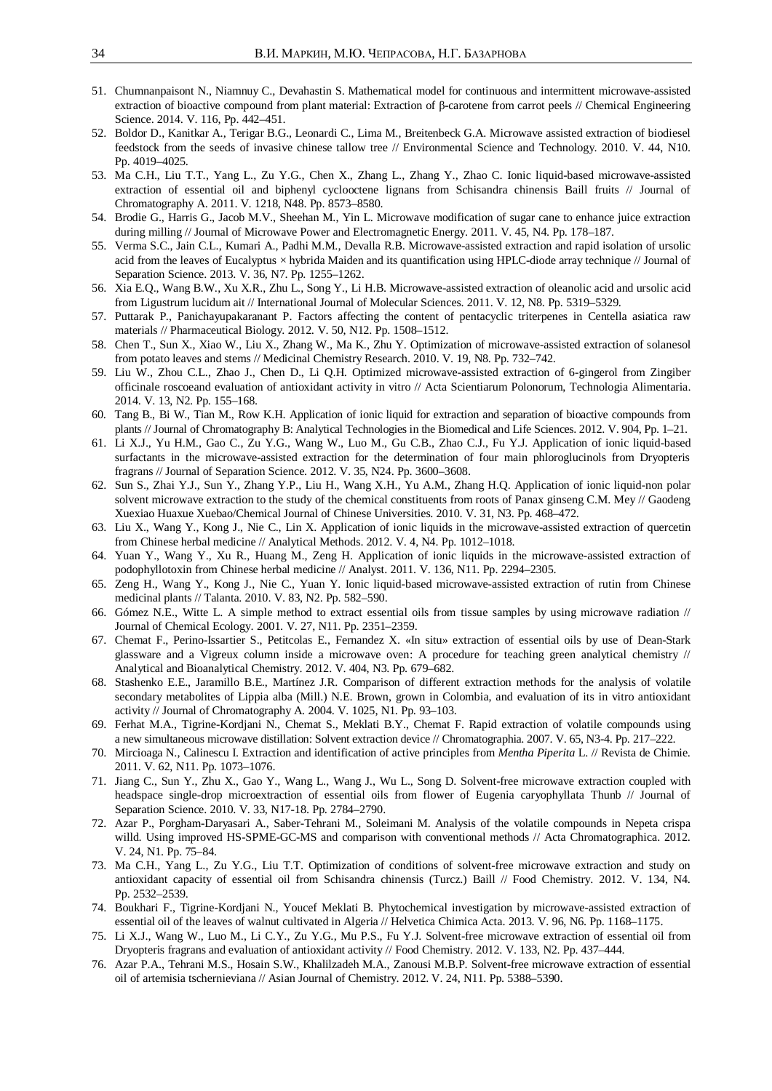- 51. Chumnanpaisont N., Niamnuy C., Devahastin S. Mathematical model for continuous and intermittent microwave-assisted extraction of bioactive compound from plant material: Extraction of  $\beta$ -carotene from carrot peels // Chemical Engineering Science. 2014. V. 116, Pp. 442–451.
- 52. Boldor D., Kanitkar A., Terigar B.G., Leonardi C., Lima M., Breitenbeck G.A. Microwave assisted extraction of biodiesel feedstock from the seeds of invasive chinese tallow tree // Environmental Science and Technology. 2010. V. 44, N10. Pp. 4019–4025.
- 53. Ma C.H., Liu T.T., Yang L., Zu Y.G., Chen X., Zhang L., Zhang Y., Zhao C. Ionic liquid-based microwave-assisted extraction of essential oil and biphenyl cyclooctene lignans from Schisandra chinensis Baill fruits // Journal of Chromatography A. 2011. V. 1218, N48. Pp. 8573–8580.
- 54. Brodie G., Harris G., Jacob M.V., Sheehan M., Yin L. Microwave modification of sugar cane to enhance juice extraction during milling // Journal of Microwave Power and Electromagnetic Energy. 2011. V. 45, N4. Pp. 178–187.
- 55. Verma S.C., Jain C.L., Kumari A., Padhi M.M., Devalla R.B. Microwave-assisted extraction and rapid isolation of ursolic acid from the leaves of Eucalyptus × hybrida Maiden and its quantification using HPLC-diode array technique // Journal of Separation Science. 2013. V. 36, N7. Pp. 1255–1262.
- 56. Xia E.Q., Wang B.W., Xu X.R., Zhu L., Song Y., Li H.B. Microwave-assisted extraction of oleanolic acid and ursolic acid from Ligustrum lucidum ait // International Journal of Molecular Sciences. 2011. V. 12, N8. Pp. 5319–5329.
- 57. Puttarak P., Panichayupakaranant P. Factors affecting the content of pentacyclic triterpenes in Centella asiatica raw materials // Pharmaceutical Biology. 2012. V. 50, N12. Pp. 1508–1512.
- 58. Chen T., Sun X., Xiao W., Liu X., Zhang W., Ma K., Zhu Y. Optimization of microwave-assisted extraction of solanesol from potato leaves and stems // Medicinal Chemistry Research. 2010. V. 19, N8. Pp. 732–742.
- 59. Liu W., Zhou C.L., Zhao J., Chen D., Li Q.H. Optimized microwave-assisted extraction of 6-gingerol from Zingiber officinale roscoeand evaluation of antioxidant activity in vitro // Acta Scientiarum Polonorum, Technologia Alimentaria. 2014. V. 13, N2. Pp. 155–168.
- 60. Tang B., Bi W., Tian M., Row K.H. Application of ionic liquid for extraction and separation of bioactive compounds from plants // Journal of Chromatography B: Analytical Technologies in the Biomedical and Life Sciences. 2012. V. 904, Pp. 1–21.
- 61. Li X.J., Yu H.M., Gao C., Zu Y.G., Wang W., Luo M., Gu C.B., Zhao C.J., Fu Y.J. Application of ionic liquid-based surfactants in the microwave-assisted extraction for the determination of four main phloroglucinols from Dryopteris fragrans // Journal of Separation Science. 2012. V. 35, N24. Pp. 3600–3608.
- 62. Sun S., Zhai Y.J., Sun Y., Zhang Y.P., Liu H., Wang X.H., Yu A.M., Zhang H.Q. Application of ionic liquid-non polar solvent microwave extraction to the study of the chemical constituents from roots of Panax ginseng C.M. Mey // Gaodeng Xuexiao Huaxue Xuebao/Chemical Journal of Chinese Universities. 2010. V. 31, N3. Pp. 468–472.
- 63. Liu X., Wang Y., Kong J., Nie C., Lin X. Application of ionic liquids in the microwave-assisted extraction of quercetin from Chinese herbal medicine // Analytical Methods. 2012. V. 4, N4. Pp. 1012–1018.
- 64. Yuan Y., Wang Y., Xu R., Huang M., Zeng H. Application of ionic liquids in the microwave-assisted extraction of podophyllotoxin from Chinese herbal medicine // Analyst. 2011. V. 136, N11. Pp. 2294–2305.
- 65. Zeng H., Wang Y., Kong J., Nie C., Yuan Y. Ionic liquid-based microwave-assisted extraction of rutin from Chinese medicinal plants // Talanta. 2010. V. 83, N2. Pp. 582–590.
- 66. Gómez N.E., Witte L. A simple method to extract essential oils from tissue samples by using microwave radiation // Journal of Chemical Ecology. 2001. V. 27, N11. Pp. 2351–2359.
- 67. Chemat F., Perino-Issartier S., Petitcolas E., Fernandez X. «In situ» extraction of essential oils by use of Dean-Stark glassware and a Vigreux column inside a microwave oven: A procedure for teaching green analytical chemistry // Analytical and Bioanalytical Chemistry. 2012. V. 404, N3. Pp. 679–682.
- 68. Stashenko E.E., Jaramillo B.E., Martínez J.R. Comparison of different extraction methods for the analysis of volatile secondary metabolites of Lippia alba (Mill.) N.E. Brown, grown in Colombia, and evaluation of its in vitro antioxidant activity // Journal of Chromatography A. 2004. V. 1025, N1. Pp. 93–103.
- 69. Ferhat M.A., Tigrine-Kordjani N., Chemat S., Meklati B.Y., Chemat F. Rapid extraction of volatile compounds using a new simultaneous microwave distillation: Solvent extraction device // Chromatographia. 2007. V. 65, N3-4. Pp. 217–222.
- 70. Mircioaga N., Calinescu I. Extraction and identification of active principles from *Mentha Piperita* L. // Revista de Chimie. 2011. V. 62, N11. Pp. 1073–1076.
- 71. Jiang C., Sun Y., Zhu X., Gao Y., Wang L., Wang J., Wu L., Song D. Solvent-free microwave extraction coupled with headspace single-drop microextraction of essential oils from flower of Eugenia caryophyllata Thunb // Journal of Separation Science. 2010. V. 33, N17-18. Pp. 2784–2790.
- 72. Azar P., Porgham-Daryasari A., Saber-Tehrani M., Soleimani M. Analysis of the volatile compounds in Nepeta crispa willd. Using improved HS-SPME-GC-MS and comparison with conventional methods // Acta Chromatographica. 2012. V. 24, N1. Pp. 75–84.
- 73. Ma C.H., Yang L., Zu Y.G., Liu T.T. Optimization of conditions of solvent-free microwave extraction and study on antioxidant capacity of essential oil from Schisandra chinensis (Turcz.) Baill // Food Chemistry. 2012. V. 134, N4. Pp. 2532–2539.
- 74. Boukhari F., Tigrine-Kordjani N., Youcef Meklati B. Phytochemical investigation by microwave-assisted extraction of essential oil of the leaves of walnut cultivated in Algeria // Helvetica Chimica Acta. 2013. V. 96, N6. Pp. 1168–1175.
- 75. Li X.J., Wang W., Luo M., Li C.Y., Zu Y.G., Mu P.S., Fu Y.J. Solvent-free microwave extraction of essential oil from Dryopteris fragrans and evaluation of antioxidant activity // Food Chemistry. 2012. V. 133, N2. Pp. 437–444.
- 76. Azar P.A., Tehrani M.S., Hosain S.W., Khalilzadeh M.A., Zanousi M.B.P. Solvent-free microwave extraction of essential oil of artemisia tschernieviana // Asian Journal of Chemistry. 2012. V. 24, N11. Pp. 5388–5390.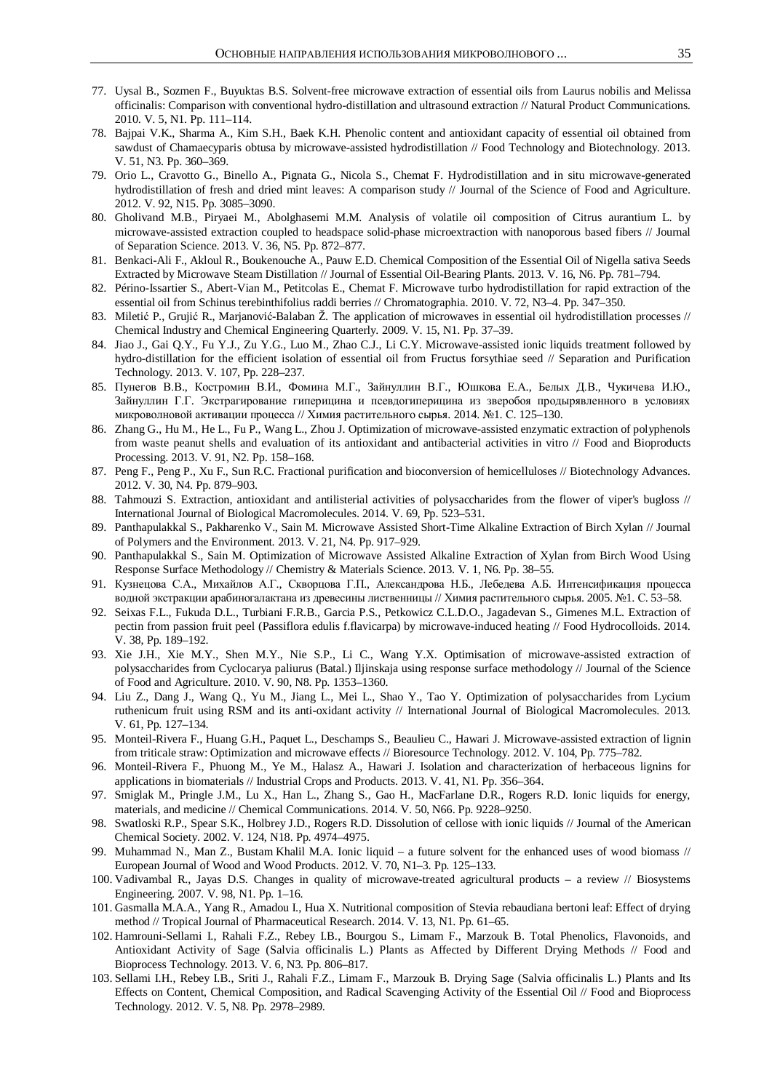- 77. Uysal B., Sozmen F., Buyuktas B.S. Solvent-free microwave extraction of essential oils from Laurus nobilis and Melissa officinalis: Comparison with conventional hydro-distillation and ultrasound extraction // Natural Product Communications. 2010. V. 5, N1. Pp. 111–114.
- 78. Bajpai V.K., Sharma A., Kim S.H., Baek K.H. Phenolic content and antioxidant capacity of essential oil obtained from sawdust of Chamaecyparis obtusa by microwave-assisted hydrodistillation // Food Technology and Biotechnology. 2013. V. 51, N3. Pp. 360–369.
- 79. Orio L., Cravotto G., Binello A., Pignata G., Nicola S., Chemat F. Hydrodistillation and in situ microwave-generated hydrodistillation of fresh and dried mint leaves: A comparison study // Journal of the Science of Food and Agriculture. 2012. V. 92, N15. Pp. 3085–3090.
- 80. Gholivand M.B., Piryaei M., Abolghasemi M.M. Analysis of volatile oil composition of Citrus aurantium L. by microwave-assisted extraction coupled to headspace solid-phase microextraction with nanoporous based fibers // Journal of Separation Science. 2013. V. 36, N5. Pp. 872–877.
- 81. Benkaci-Ali F., Akloul R., Boukenouche A., Pauw E.D. Chemical Composition of the Essential Oil of Nigella sativa Seeds Extracted by Microwave Steam Distillation // Journal of Essential Oil-Bearing Plants. 2013. V. 16, N6. Pp. 781–794.
- 82. Périno-Issartier S., Abert-Vian M., Petitcolas E., Chemat F. Microwave turbo hydrodistillation for rapid extraction of the essential oil from Schinus terebinthifolius raddi berries // Chromatographia. 2010. V. 72, N3–4. Pp. 347–350.
- 83. Miletić P., Grujić R., Marjanović-Balaban Ž. The application of microwaves in essential oil hydrodistillation processes // Chemical Industry and Chemical Engineering Quarterly. 2009. V. 15, N1. Pp. 37–39.
- 84. Jiao J., Gai Q.Y., Fu Y.J., Zu Y.G., Luo M., Zhao C.J., Li C.Y. Microwave-assisted ionic liquids treatment followed by hydro-distillation for the efficient isolation of essential oil from Fructus forsythiae seed // Separation and Purification Technology. 2013. V. 107, Pp. 228–237.
- 85. Пунегов В.В., Костромин В.И., Фомина М.Г., Зайнуллин В.Г., Юшкова Е.А., Белых Д.В., Чукичева И.Ю., Зайнуллин Г.Г. Экстрагирование гиперицина и псевдогиперицина из зверобоя продырявленного в условиях микроволновой активации процесса // Химия растительного сырья. 2014. №1. С. 125–130.
- 86. Zhang G., Hu M., He L., Fu P., Wang L., Zhou J. Optimization of microwave-assisted enzymatic extraction of polyphenols from waste peanut shells and evaluation of its antioxidant and antibacterial activities in vitro // Food and Bioproducts Processing. 2013. V. 91, N2. Pp. 158–168.
- 87. Peng F., Peng P., Xu F., Sun R.C. Fractional purification and bioconversion of hemicelluloses // Biotechnology Advances. 2012. V. 30, N4. Pp. 879–903.
- 88. Tahmouzi S. Extraction, antioxidant and antilisterial activities of polysaccharides from the flower of viper's bugloss // International Journal of Biological Macromolecules. 2014. V. 69, Pp. 523–531.
- 89. Panthapulakkal S., Pakharenko V., Sain M. Microwave Assisted Short-Time Alkaline Extraction of Birch Xylan // Journal of Polymers and the Environment. 2013. V. 21, N4. Pp. 917–929.
- 90. Panthapulakkal S., Sain M. Optimization of Microwave Assisted Alkaline Extraction of Xylan from Birch Wood Using Response Surface Methodology // Chemistry & Materials Science. 2013. V. 1, N6. Pp. 38–55.
- 91. Кузнецова С.А., Михайлов А.Г., Скворцова Г.П., Александрова Н.Б., Лебедева А.Б. Интенсификация процесса водной экстракции арабиногалактана из древесины лиственницы // Химия растительного сырья. 2005. №1. С. 53–58.
- 92. Seixas F.L., Fukuda D.L., Turbiani F.R.B., Garcia P.S., Petkowicz C.L.D.O., Jagadevan S., Gimenes M.L. Extraction of pectin from passion fruit peel (Passiflora edulis f.flavicarpa) by microwave-induced heating // Food Hydrocolloids. 2014. V. 38, Pp. 189–192.
- 93. Xie J.H., Xie M.Y., Shen M.Y., Nie S.P., Li C., Wang Y.X. Optimisation of microwave-assisted extraction of polysaccharides from Cyclocarya paliurus (Batal.) Iljinskaja using response surface methodology // Journal of the Science of Food and Agriculture. 2010. V. 90, N8. Pp. 1353–1360.
- 94. Liu Z., Dang J., Wang Q., Yu M., Jiang L., Mei L., Shao Y., Tao Y. Optimization of polysaccharides from Lycium ruthenicum fruit using RSM and its anti-oxidant activity // International Journal of Biological Macromolecules. 2013. V. 61, Pp. 127–134.
- 95. Monteil-Rivera F., Huang G.H., Paquet L., Deschamps S., Beaulieu C., Hawari J. Microwave-assisted extraction of lignin from triticale straw: Optimization and microwave effects // Bioresource Technology. 2012. V. 104, Pp. 775–782.
- 96. Monteil-Rivera F., Phuong M., Ye M., Halasz A., Hawari J. Isolation and characterization of herbaceous lignins for applications in biomaterials // Industrial Crops and Products. 2013. V. 41, N1. Pp. 356–364.
- 97. Smiglak M., Pringle J.M., Lu X., Han L., Zhang S., Gao H., MacFarlane D.R., Rogers R.D. Ionic liquids for energy, materials, and medicine // Chemical Communications. 2014. V. 50, N66. Pp. 9228–9250.
- 98. Swatloski R.P., Spear S.K., Holbrey J.D., Rogers R.D. Dissolution of cellose with ionic liquids // Journal of the American Chemical Society. 2002. V. 124, N18. Pp. 4974–4975.
- 99. Muhammad N., Man Z., Bustam Khalil M.A. Ionic liquid a future solvent for the enhanced uses of wood biomass // European Journal of Wood and Wood Products. 2012. V. 70, N1–3. Pp. 125–133.
- 100. Vadivambal R., Jayas D.S. Changes in quality of microwave-treated agricultural products a review // Biosystems Engineering. 2007. V. 98, N1. Pp. 1–16.
- 101. Gasmalla M.A.A., Yang R., Amadou I., Hua X. Nutritional composition of Stevia rebaudiana bertoni leaf: Effect of drying method // Tropical Journal of Pharmaceutical Research. 2014. V. 13, N1. Pp. 61–65.
- 102. Hamrouni-Sellami I., Rahali F.Z., Rebey I.B., Bourgou S., Limam F., Marzouk B. Total Phenolics, Flavonoids, and Antioxidant Activity of Sage (Salvia officinalis L.) Plants as Affected by Different Drying Methods // Food and Bioprocess Technology. 2013. V. 6, N3. Pp. 806–817.
- 103. Sellami I.H., Rebey I.B., Sriti J., Rahali F.Z., Limam F., Marzouk B. Drying Sage (Salvia officinalis L.) Plants and Its Effects on Content, Chemical Composition, and Radical Scavenging Activity of the Essential Oil // Food and Bioprocess Technology. 2012. V. 5, N8. Pp. 2978–2989.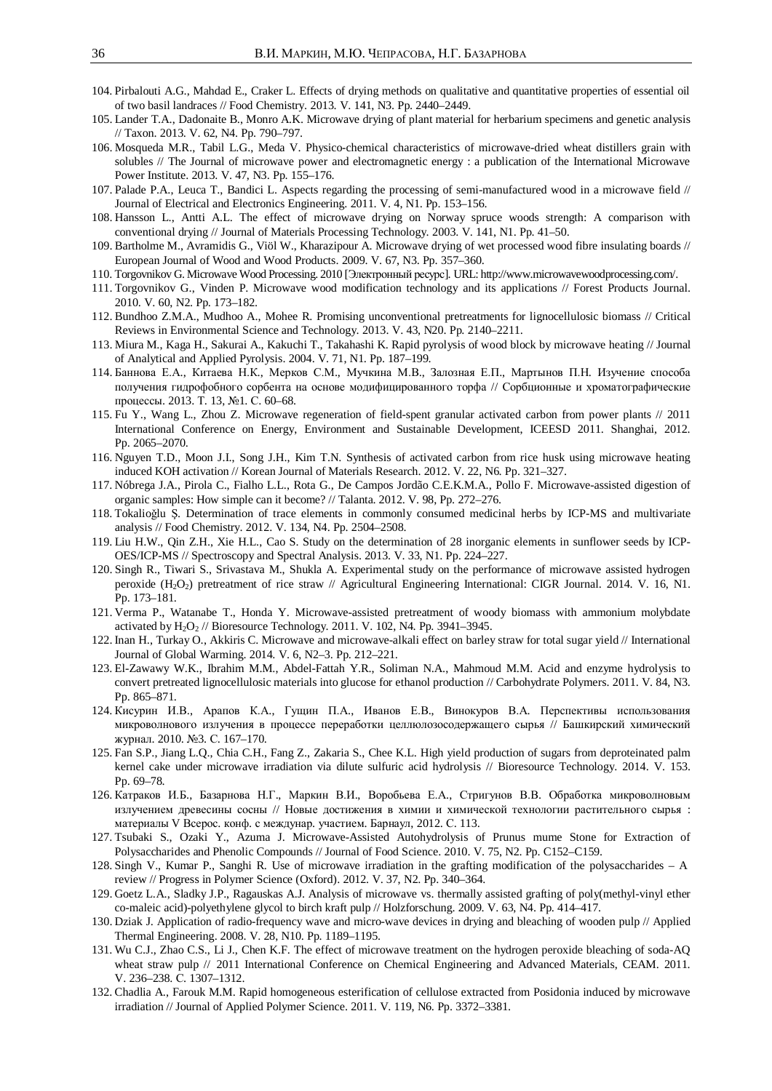- 104. Pirbalouti A.G., Mahdad E., Craker L. Effects of drying methods on qualitative and quantitative properties of essential oil of two basil landraces // Food Chemistry. 2013. V. 141, N3. Pp. 2440–2449.
- 105. Lander T.A., Dadonaite B., Monro A.K. Microwave drying of plant material for herbarium specimens and genetic analysis // Taxon. 2013. V. 62, N4. Pp. 790–797.
- 106. Mosqueda M.R., Tabil L.G., Meda V. Physico-chemical characteristics of microwave-dried wheat distillers grain with solubles // The Journal of microwave power and electromagnetic energy : a publication of the International Microwave Power Institute. 2013. V. 47, N3. Pp. 155–176.
- 107. Palade P.A., Leuca T., Bandici L. Aspects regarding the processing of semi-manufactured wood in a microwave field // Journal of Electrical and Electronics Engineering. 2011. V. 4, N1. Pp. 153–156.
- 108. Hansson L., Antti A.L. The effect of microwave drying on Norway spruce woods strength: A comparison with conventional drying // Journal of Materials Processing Technology. 2003. V. 141, N1. Pp. 41–50.
- 109. Bartholme M., Avramidis G., Viöl W., Kharazipour A. Microwave drying of wet processed wood fibre insulating boards // European Journal of Wood and Wood Products. 2009. V. 67, N3. Pp. 357–360.
- 110. Torgovnikov G. Microwave Wood Processing. 2010 [Электронный ресурс]. URL: http://www.microwavewoodprocessing.com/.
- 111. Torgovnikov G., Vinden P. Microwave wood modification technology and its applications // Forest Products Journal. 2010. V. 60, N2. Pp. 173–182.
- 112. Bundhoo Z.M.A., Mudhoo A., Mohee R. Promising unconventional pretreatments for lignocellulosic biomass // Critical Reviews in Environmental Science and Technology. 2013. V. 43, N20. Pp. 2140–2211.
- 113. Miura M., Kaga H., Sakurai A., Kakuchi T., Takahashi K. Rapid pyrolysis of wood block by microwave heating // Journal of Analytical and Applied Pyrolysis. 2004. V. 71, N1. Pp. 187–199.
- 114. Баннова Е.А., Китаева Н.К., Мерков С.М., Мучкина М.В., Залозная Е.П., Мартынов П.Н. Изучение способа получения гидрофобного сорбента на основе модифицированного торфа // Сорбционные и хроматографические процессы. 2013. Т. 13, №1. С. 60–68.
- 115. Fu Y., Wang L., Zhou Z. Microwave regeneration of field-spent granular activated carbon from power plants // 2011 International Conference on Energy, Environment and Sustainable Development, ICEESD 2011. Shanghai, 2012. Pp. 2065–2070.
- 116. Nguyen T.D., Moon J.I., Song J.H., Kim T.N. Synthesis of activated carbon from rice husk using microwave heating induced KOH activation // Korean Journal of Materials Research. 2012. V. 22, N6. Pp. 321–327.
- 117. Nóbrega J.A., Pirola C., Fialho L.L., Rota G., De Campos Jordão C.E.K.M.A., Pollo F. Microwave-assisted digestion of organic samples: How simple can it become? // Talanta. 2012. V. 98, Pp. 272–276.
- 118. Tokalioğlu Ş. Determination of trace elements in commonly consumed medicinal herbs by ICP-MS and multivariate analysis // Food Chemistry. 2012. V. 134, N4. Pp. 2504–2508.
- 119. Liu H.W., Qin Z.H., Xie H.L., Cao S. Study on the determination of 28 inorganic elements in sunflower seeds by ICP-OES/ICP-MS // Spectroscopy and Spectral Analysis. 2013. V. 33, N1. Pp. 224–227.
- 120. Singh R., Tiwari S., Srivastava M., Shukla A. Experimental study on the performance of microwave assisted hydrogen peroxide (H2O2) pretreatment of rice straw // Agricultural Engineering International: CIGR Journal. 2014. V. 16, N1. Pp. 173–181.
- 121. Verma P., Watanabe T., Honda Y. Microwave-assisted pretreatment of woody biomass with ammonium molybdate activated by  $H_2O_2$  // Bioresource Technology. 2011. V. 102, N4. Pp. 3941–3945.
- 122. Inan H., Turkay O., Akkiris C. Microwave and microwave-alkali effect on barley straw for total sugar yield // International Journal of Global Warming. 2014. V. 6, N2–3. Pp. 212–221.
- 123. El-Zawawy W.K., Ibrahim M.M., Abdel-Fattah Y.R., Soliman N.A., Mahmoud M.M. Acid and enzyme hydrolysis to convert pretreated lignocellulosic materials into glucose for ethanol production // Carbohydrate Polymers. 2011. V. 84, N3. Pp. 865–871.
- 124. Кисурин И.В., Арапов К.А., Гущин П.А., Иванов Е.В., Винокуров В.А. Перспективы использования микроволнового излучения в процессе переработки целлюлозосодержащего сырья // Башкирский химический журнал. 2010. №3. С. 167-170.
- 125. Fan S.P., Jiang L.Q., Chia C.H., Fang Z., Zakaria S., Chee K.L. High yield production of sugars from deproteinated palm kernel cake under microwave irradiation via dilute sulfuric acid hydrolysis // Bioresource Technology. 2014. V. 153. Pp. 69–78.
- 126. Катраков И.Б., Базарнова Н.Г., Маркин В.И., Воробьева Е.А., Стригунов В.В. Обработка микроволновым излучением древесины сосны // Новые достижения в химии и химической технологии растительного сырья: материалы V Всерос. конф. с междунар. участием. Барнаул, 2012. С. 113.
- 127. Tsubaki S., Ozaki Y., Azuma J. Microwave-Assisted Autohydrolysis of Prunus mume Stone for Extraction of Polysaccharides and Phenolic Compounds // Journal of Food Science. 2010. V. 75, N2. Pp. C152–C159.
- 128. Singh V., Kumar P., Sanghi R. Use of microwave irradiation in the grafting modification of the polysaccharides A review // Progress in Polymer Science (Oxford). 2012. V. 37, N2. Pp. 340–364.
- 129. Goetz L.A., Sladky J.P., Ragauskas A.J. Analysis of microwave vs. thermally assisted grafting of poly(methyl-vinyl ether co-maleic acid)-polyethylene glycol to birch kraft pulp // Holzforschung. 2009. V. 63, N4. Pp. 414–417.
- 130. Dziak J. Application of radio-frequency wave and micro-wave devices in drying and bleaching of wooden pulp // Applied Thermal Engineering. 2008. V. 28, N10. Pp. 1189–1195.
- 131. Wu C.J., Zhao C.S., Li J., Chen K.F. The effect of microwave treatment on the hydrogen peroxide bleaching of soda-AQ wheat straw pulp // 2011 International Conference on Chemical Engineering and Advanced Materials, CEAM. 2011. V. 236-238. C. 1307-1312.
- 132. Chadlia A., Farouk M.M. Rapid homogeneous esterification of cellulose extracted from Posidonia induced by microwave irradiation // Journal of Applied Polymer Science. 2011. V. 119, N6. Pp. 3372–3381.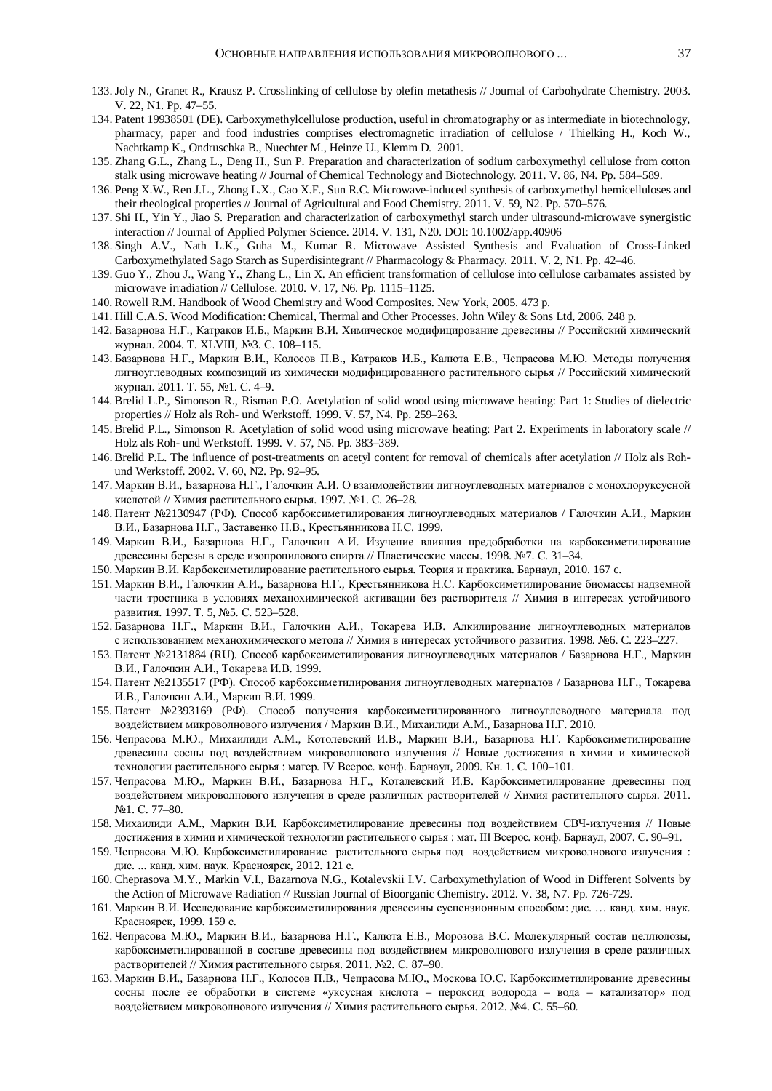- 133. Joly N., Granet R., Krausz P. Crosslinking of cellulose by olefin metathesis // Journal of Carbohydrate Chemistry. 2003. V. 22, N1. Pp. 47–55.
- 134. Patent 19938501 (DE). Carboxymethylcellulose production, useful in chromatography or as intermediate in biotechnology, pharmacy, paper and food industries comprises electromagnetic irradiation of cellulose / Thielking H., Koch W., Nachtkamp K., Ondruschka B., Nuechter M., Heinze U., Klemm D. 2001.
- 135. Zhang G.L., Zhang L., Deng H., Sun P. Preparation and characterization of sodium carboxymethyl cellulose from cotton stalk using microwave heating // Journal of Chemical Technology and Biotechnology. 2011. V. 86, N4. Pp. 584–589.
- 136. Peng X.W., Ren J.L., Zhong L.X., Cao X.F., Sun R.C. Microwave-induced synthesis of carboxymethyl hemicelluloses and their rheological properties // Journal of Agricultural and Food Chemistry. 2011. V. 59, N2. Pp. 570–576.
- 137. Shi H., Yin Y., Jiao S. Preparation and characterization of carboxymethyl starch under ultrasound-microwave synergistic interaction // Journal of Applied Polymer Science. 2014. V. 131, N20. DOI: 10.1002/app.40906
- 138. Singh A.V., Nath L.K., Guha M., Kumar R. Microwave Assisted Synthesis and Evaluation of Cross-Linked Carboxymethylated Sago Starch as Superdisintegrant // Pharmacology & Pharmacy. 2011. V. 2, N1. Pp. 42–46.
- 139. Guo Y., Zhou J., Wang Y., Zhang L., Lin X. An efficient transformation of cellulose into cellulose carbamates assisted by microwave irradiation // Cellulose. 2010. V. 17, N6. Pp. 1115–1125.
- 140. Rowell R.M. Handbook of Wood Chemistry and Wood Composites. New York, 2005. 473 p.
- 141. Hill C.A.S. Wood Modification: Chemical, Thermal and Other Processes. John Wiley & Sons Ltd, 2006. 248 p.
- 142. Базарнова Н.Г., Катраков И.Б., Маркин В.И. Химическое модифицирование древесины // Российский химический журнал. 2004. Т. XLVIII, №3. С. 108-115.
- 143. Базарнова Н.Г., Маркин В.И., Колосов П.В., Катраков И.Б., Калюта Е.В., Чепрасова М.Ю. Методы получения лигноуглеводных композиций из химически модифицированного растительного сырья // Российский химический журнал. 2011. Т. 55, №1. С. 4-9.
- 144. Brelid L.P., Simonson R., Risman P.O. Acetylation of solid wood using microwave heating: Part 1: Studies of dielectric properties // Holz als Roh- und Werkstoff. 1999. V. 57, N4. Pp. 259–263.
- 145. Brelid P.L., Simonson R. Acetylation of solid wood using microwave heating: Part 2. Experiments in laboratory scale // Holz als Roh- und Werkstoff. 1999. V. 57, N5. Pp. 383–389.
- 146. Brelid P.L. The influence of post-treatments on acetyl content for removal of chemicals after acetylation // Holz als Rohund Werkstoff. 2002. V. 60, N2. Pp. 92–95.
- 147. Маркин В.И., Базарнова Н.Г., Галочкин А.И. О взаимодействии лигноуглеводных материалов с монохлоруксусной кислотой // Химия растительного сырья. 1997. №1. С. 26–28.
- 148. Патент №2130947 (РФ). Способ карбоксиметилирования лигноуглеводных материалов / Галочкин А.И., Маркин В.И., Базарнова Н.Г., Заставенко Н.В., Крестьянникова Н.С. 1999.
- 149. Маркин В.И., Базарнова Н.Г., Галочкин А.И. Изучение влияния предобработки на карбоксиметилирование древесины березы в среде изопропилового спирта // Пластические массы. 1998. №7. С. 31–34.
- 150. Маркин В.И. Карбоксиметилирование растительного сырья. Теория и практика. Барнаул, 2010. 167 с.
- 151. Маркин В.И., Галочкин А.И., Базарнова Н.Г., Крестьянникова Н.С. Карбоксиметилирование биомассы надземной части тростника в условиях механохимической активации без растворителя // Химия в интересах устойчивого развития. 1997. Т. 5, №5. С. 523-528.
- 152. Базарнова Н.Г., Маркин В.И., Галочкин А.И., Токарева И.В. Алкилирование лигноуглеводных материалов с использованием механохимического метода // Химия в интересах устойчивого развития. 1998. №6. С. 223–227.
- 153. Патент №2131884 (RU). Способ карбоксиметилирования лигноуглеводных материалов / Базарнова Н.Г., Маркин В.И., Галочкин А.И., Токарева И.В. 1999.
- 154. Патент №2135517 (РФ). Способ карбоксиметилирования лигноуглеводных материалов / Базарнова Н.Г., Токарева И.В., Галочкин А.И., Маркин В.И. 1999.
- 155. Патент №2393169 (РФ). Способ получения карбоксиметилированного лигноуглеводного материала под воздействием микроволнового излучения / Маркин В.И., Михаилиди А.М., Базарнова Н.Г. 2010.
- 156. Чепрасова М.Ю., Михаилиди А.М., Котолевский И.В., Маркин В.И., Базарнова Н.Г. Карбоксиметилирование древесины сосны под воздействием микроволнового излучения // Новые достижения в химии и химической технологии растительного сырья: матер. IV Всерос. конф. Барнаул, 2009. Кн. 1. С. 100–101.
- 157. Чепрасова М.Ю., Маркин В.И., Базарнова Н.Г., Коталевский И.В. Карбоксиметилирование древесины под воздействием микроволнового излучения в среде различных растворителей // Химия растительного сырья. 2011.  $N<sub>2</sub>1. C. 77–80.$
- 158. Михаилиди А.М., Маркин В.И. Карбоксиметилирование древесины под воздействием СВЧ-излучения // Новые достижения в химии и химической технологии растительного сырья : мат. III Всерос. конф. Барнаул, 2007. С. 90-91.
- 159. Чепрасова М.Ю. Карбоксиметилирование растительного сырья под воздействием микроволнового излучения: дис. ... канд. хим. наук. Красноярск, 2012. 121 с.
- 160. Cheprasova M.Y., Markin V.I., Bazarnova N.G., Kotalevskii I.V. Carboxymethylation of Wood in Different Solvents by the Action of Microwave Radiation // Russian Journal of Bioorganic Chemistry. 2012. V. 38, N7. Pp. 726-729.
- 161. Маркин В.И. Исследование карбоксиметилирования древесины суспензионным способом: дис. ... канд. хим. наук. Красноярск, 1999. 159 с.
- 162. Чепрасова М.Ю., Маркин В.И., Базарнова Н.Г., Калюта Е.В., Морозова В.С. Молекулярный состав целлюлозы, карбоксиметилированной в составе древесины под воздействием микроволнового излучения в среде различных растворителей // Химия растительного сырья. 2011. №2. С. 87–90.
- 163. Маркин В.И., Базарнова Н.Г., Колосов П.В., Чепрасова М.Ю., Москова Ю.С. Карбоксиметилирование древесины сосны после ее обработки в системе «уксусная кислота - пероксид водорода - вода - катализатор» под воздействием микроволнового излучения // Химия растительного сырья. 2012. №4. С. 55–60.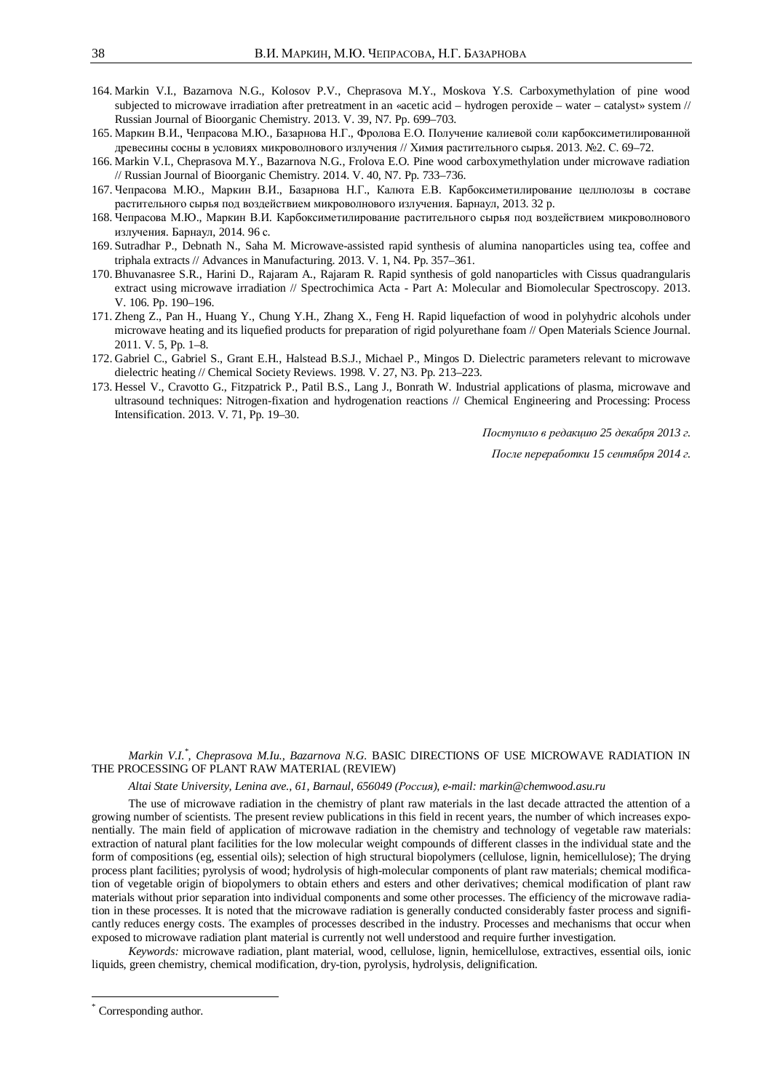- 164. Markin V.I., Bazarnova N.G., Kolosov P.V., Cheprasova M.Y., Moskova Y.S. Carboxymethylation of pine wood subjected to microwave irradiation after pretreatment in an «acetic acid – hydrogen peroxide – water – catalyst» system // Russian Journal of Bioorganic Chemistry. 2013. V. 39, N7. Pp. 699–703.
- 165. Маркин В.И., Чепрасова М.Ю., Базарнова Н.Г., Фролова Е.О. Получение калиевой соли карбоксиметилированной древесины сосны в условиях микроволнового излучения // Химия растительного сырья. 2013. №2. С. 69–72.
- 166. Markin V.I., Cheprasova M.Y., Bazarnova N.G., Frolova E.O. Pine wood carboxymethylation under microwave radiation // Russian Journal of Bioorganic Chemistry. 2014. V. 40, N7. Pp. 733–736.
- 167. Чепрасова М.Ю., Маркин В.И., Базарнова Н.Г., Калюта Е.В. Карбоксиметилирование целлюлозы в составе растительного сырья под воздействием микроволнового излучения. Барнаул, 2013. 32 р.
- 168. Чепрасова М.Ю., Маркин В.И. Карбоксиметилирование растительного сырья под воздействием микроволнового излучения. Барнаул, 2014. 96 с.
- 169. Sutradhar P., Debnath N., Saha M. Microwave-assisted rapid synthesis of alumina nanoparticles using tea, coffee and triphala extracts // Advances in Manufacturing. 2013. V. 1, N4. Pp. 357–361.
- 170. Bhuvanasree S.R., Harini D., Rajaram A., Rajaram R. Rapid synthesis of gold nanoparticles with Cissus quadrangularis extract using microwave irradiation // Spectrochimica Acta - Part A: Molecular and Biomolecular Spectroscopy. 2013. V. 106. Pp. 190–196.
- 171. Zheng Z., Pan H., Huang Y., Chung Y.H., Zhang X., Feng H. Rapid liquefaction of wood in polyhydric alcohols under microwave heating and its liquefied products for preparation of rigid polyurethane foam // Open Materials Science Journal. 2011. V. 5, Pp. 1–8.
- 172. Gabriel C., Gabriel S., Grant E.H., Halstead B.S.J., Michael P., Mingos D. Dielectric parameters relevant to microwave dielectric heating // Chemical Society Reviews. 1998. V. 27, N3. Pp. 213–223.
- 173. Hessel V., Cravotto G., Fitzpatrick P., Patil B.S., Lang J., Bonrath W. Industrial applications of plasma, microwave and ultrasound techniques: Nitrogen-fixation and hydrogenation reactions // Chemical Engineering and Processing: Process Intensification. 2013. V. 71, Pp. 19–30.

*Поступило в редакцию 25 декабря 2013 г.* 

*После переработки 15 сентября 2014 г.* 

# *Markin V.I.\* , Cheprasova M.Iu., Bazarnova N.G.* BASIC DIRECTIONS OF USE MICROWAVE RADIATION IN THE PROCESSING OF PLANT RAW MATERIAL (REVIEW)

#### *Altai State University, Lenina ave., 61, Barnaul, 656049 (Ɋɨɫɫɢɹ), e-mail: markin@chemwood.asu.ru*

The use of microwave radiation in the chemistry of plant raw materials in the last decade attracted the attention of a growing number of scientists. The present review publications in this field in recent years, the number of which increases exponentially. The main field of application of microwave radiation in the chemistry and technology of vegetable raw materials: extraction of natural plant facilities for the low molecular weight compounds of different classes in the individual state and the form of compositions (eg, essential oils); selection of high structural biopolymers (cellulose, lignin, hemicellulose); The drying process plant facilities; pyrolysis of wood; hydrolysis of high-molecular components of plant raw materials; chemical modification of vegetable origin of biopolymers to obtain ethers and esters and other derivatives; chemical modification of plant raw materials without prior separation into individual components and some other processes. The efficiency of the microwave radiation in these processes. It is noted that the microwave radiation is generally conducted considerably faster process and significantly reduces energy costs. The examples of processes described in the industry. Processes and mechanisms that occur when exposed to microwave radiation plant material is currently not well understood and require further investigation.

*Keywords:* microwave radiation, plant material, wood, cellulose, lignin, hemicellulose, extractives, essential oils, ionic liquids, green chemistry, chemical modification, dry-tion, pyrolysis, hydrolysis, delignification.

 $\overline{a}$ 

<sup>\*</sup> Corresponding author.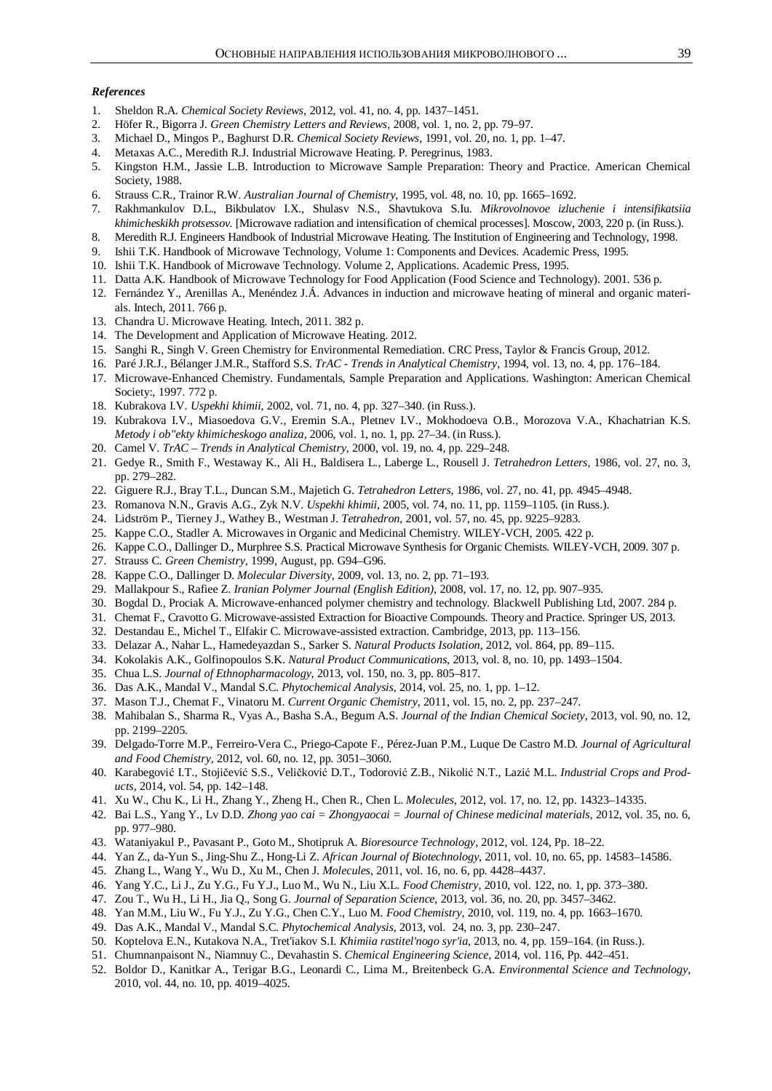### *References*

- 1. Sheldon R.A. *Chemical Society Reviews,* 2012, vol. 41, no. 4, pp. 1437–1451.
- 2. Höfer R., Bigorra J. *Green Chemistry Letters and Reviews*, 2008, vol. 1, no. 2, pp. 79–97.
- 3. Michael D., Mingos P., Baghurst D.R. *Chemical Society Reviews*, 1991, vol. 20, no. 1, pp. 1–47.
- 4. Metaxas A.C., Meredith R.J. Industrial Microwave Heating. P. Peregrinus, 1983.
- 5. Kingston H.M., Jassie L.B. Introduction to Microwave Sample Preparation: Theory and Practice. American Chemical Society, 1988.
- 6. Strauss C.R., Trainor R.W. *Australian Journal of Chemistry*, 1995, vol. 48, no. 10, pp. 1665–1692.
- 7. Rakhmankulov D.L., Bikbulatov I.X., Shulasv N.S., Shavtukova S.Iu. *Mikrovolnovoe izluchenie i intensifikatsiia khimicheskikh protsessov.* [Microwave radiation and intensification of chemical processes]. Moscow, 2003, 220 p. (in Russ.).
- 8. Meredith R.J. Engineers Handbook of Industrial Microwave Heating. The Institution of Engineering and Technology, 1998.
- 9. Ishii T.K. Handbook of Microwave Technology, Volume 1: Components and Devices. Academic Press, 1995.
- 10. Ishii T.K. Handbook of Microwave Technology. Volume 2, Applications. Academic Press, 1995.
- 11. Datta A.K. Handbook of Microwave Technology for Food Application (Food Science and Technology). 2001. 536 p.
- 12. Fernández Y., Arenillas A., Menéndez J.Á. Advances in induction and microwave heating of mineral and organic materials. Intech, 2011. 766 p.
- 13. Chandra U. Microwave Heating. Intech, 2011. 382 p.
- 14. The Development and Application of Microwave Heating. 2012.
- 15. Sanghi R., Singh V. Green Chemistry for Environmental Remediation. CRC Press, Taylor & Francis Group, 2012.
- 16. Paré J.R.J., Bélanger J.M.R., Stafford S.S. *TrAC Trends in Analytical Chemistry*, 1994, vol. 13, no. 4, pp. 176–184.
- 17. Microwave-Enhanced Chemistry. Fundamentals, Sample Preparation and Applications. Washington: American Chemical Society:, 1997. 772 p.
- 18. Kubrakova I.V. *Uspekhi khimii*, 2002, vol. 71, no. 4, pp. 327–340. (in Russ.).
- 19. Kubrakova I.V., Miasoedova G.V., Eremin S.A., Pletnev I.V., Mokhodoeva O.B., Morozova V.A., Khachatrian K.S. *Metody i ob"ekty khimicheskogo analiza,* 2006, vol. 1, no. 1, pp. 27–34. (in Russ.).
- 20. Camel V. *TrAC Trends in Analytical Chemistry*, 2000, vol. 19, no. 4, pp. 229–248.
- 21. Gedye R., Smith F., Westaway K., Ali H., Baldisera L., Laberge L., Rousell J. *Tetrahedron Letters*, 1986, vol. 27, no. 3, pp. 279–282.
- 22. Giguere R.J., Bray T.L., Duncan S.M., Majetich G. *Tetrahedron Letters*, 1986, vol. 27, no. 41, pp. 4945–4948.
- 23. Romanova N.N., Gravis A.G., Zyk N.V. *Uspekhi khimii*, 2005, vol. 74, no. 11, pp. 1159–1105. (in Russ.).
- 24. Lidström P., Tierney J., Wathey B., Westman J. *Tetrahedron*, 2001, vol. 57, no. 45, pp. 9225–9283.
- 25. Kappe C.O., Stadler A. Microwaves in Organic and Medicinal Chemistry. WILEY-VCH, 2005. 422 p.
- 26. Kappe C.O., Dallinger D., Murphree S.S. Practical Microwave Synthesis for Organic Chemists. WILEY-VCH, 2009. 307 p.
- 27. Strauss C. *Green Chemistry,* 1999, August, pp. G94–G96.
- 28. Kappe C.O., Dallinger D. *Molecular Diversity*, 2009, vol. 13, no. 2, pp. 71–193.
- 29. Mallakpour S., Rafiee Z. *Iranian Polymer Journal (English Edition)*, 2008, vol. 17, no. 12, pp. 907–935.
- 30. Bogdal D., Prociak A. Microwave-enhanced polymer chemistry and technology. Blackwell Publishing Ltd, 2007. 284 p.
- 31. Chemat F., Cravotto G. Microwave-assisted Extraction for Bioactive Compounds. Theory and Practice. Springer US, 2013.
- 32. Destandau E., Michel T., Elfakir C. Microwave-assisted extraction. Cambridge, 2013, pp. 113–156.
- 33. Delazar A., Nahar L., Hamedeyazdan S., Sarker S. *Natural Products Isolation*, 2012, vol. 864, pp. 89–115.
- 34. Kokolakis A.K., Golfinopoulos S.K. *Natural Product Communications*, 2013, vol. 8, no. 10, pp. 1493–1504.
- 35. Chua L.S. *Journal of Ethnopharmacology*, 2013, vol. 150, no. 3, pp. 805–817.
- 36. Das A.K., Mandal V., Mandal S.C. *Phytochemical Analysis*, 2014, vol. 25, no. 1, pp. 1–12.
- 37. Mason T.J., Chemat F., Vinatoru M. *Current Organic Chemistry*, 2011, vol. 15, no. 2, pp. 237–247.
- 38. Mahibalan S., Sharma R., Vyas A., Basha S.A., Begum A.S. *Journal of the Indian Chemical Society*, 2013, vol. 90, no. 12, pp. 2199–2205.
- 39. Delgado-Torre M.P., Ferreiro-Vera C., Priego-Capote F., Pérez-Juan P.M., Luque De Castro M.D. *Journal of Agricultural and Food Chemistry*, 2012, vol. 60, no. 12, pp. 3051–3060.
- 40. Karabegović I.T., Stojičević S.S., Veličković D.T., Todorović Z.B., Nikolić N.T., Lazić M.L. *Industrial Crops and Products*, 2014, vol. 54, pp. 142–148.
- 41. Xu W., Chu K., Li H., Zhang Y., Zheng H., Chen R., Chen L. *Molecules*, 2012, vol. 17, no. 12, pp. 14323–14335.
- 42. Bai L.S., Yang Y., Lv D.D. *Zhong yao cai = Zhongyaocai = Journal of Chinese medicinal materials*, 2012, vol. 35, no. 6, pp. 977–980.
- 43. Wataniyakul P., Pavasant P., Goto M., Shotipruk A. *Bioresource Technology*, 2012, vol. 124, Pp. 18–22.
- 44. Yan Z., da-Yun S., Jing-Shu Z., Hong-Li Z. *African Journal of Biotechnology*, 2011, vol. 10, no. 65, pp. 14583–14586.
- 45. Zhang L., Wang Y., Wu D., Xu M., Chen J. *Molecules*, 2011, vol. 16, no. 6, pp. 4428–4437.
- 46. Yang Y.C., Li J., Zu Y.G., Fu Y.J., Luo M., Wu N., Liu X.L. *Food Chemistry*, 2010, vol. 122, no. 1, pp. 373–380.
- 47. Zou T., Wu H., Li H., Jia Q., Song G. *Journal of Separation Science*, 2013, vol. 36, no. 20, pp. 3457–3462.
- 48. Yan M.M., Liu W., Fu Y.J., Zu Y.G., Chen C.Y., Luo M. *Food Chemistry*, 2010, vol. 119, no. 4, pp. 1663–1670.
- 49. Das A.K., Mandal V., Mandal S.C. *Phytochemical Analysis*, 2013, vol. 24, no. 3, pp. 230–247.
- 50. Koptelova E.N., Kutakova N.A., Tret'iakov S.I. *Khimiia rastitel'nogo syr'ia*, 2013, no. 4, pp. 159–164. (in Russ.).
- 51. Chumnanpaisont N., Niamnuy C., Devahastin S. *Chemical Engineering Science*, 2014, vol. 116, Pp. 442–451.
- 52. Boldor D., Kanitkar A., Terigar B.G., Leonardi C., Lima M., Breitenbeck G.A. *Environmental Science and Technology*, 2010, vol. 44, no. 10, pp. 4019–4025.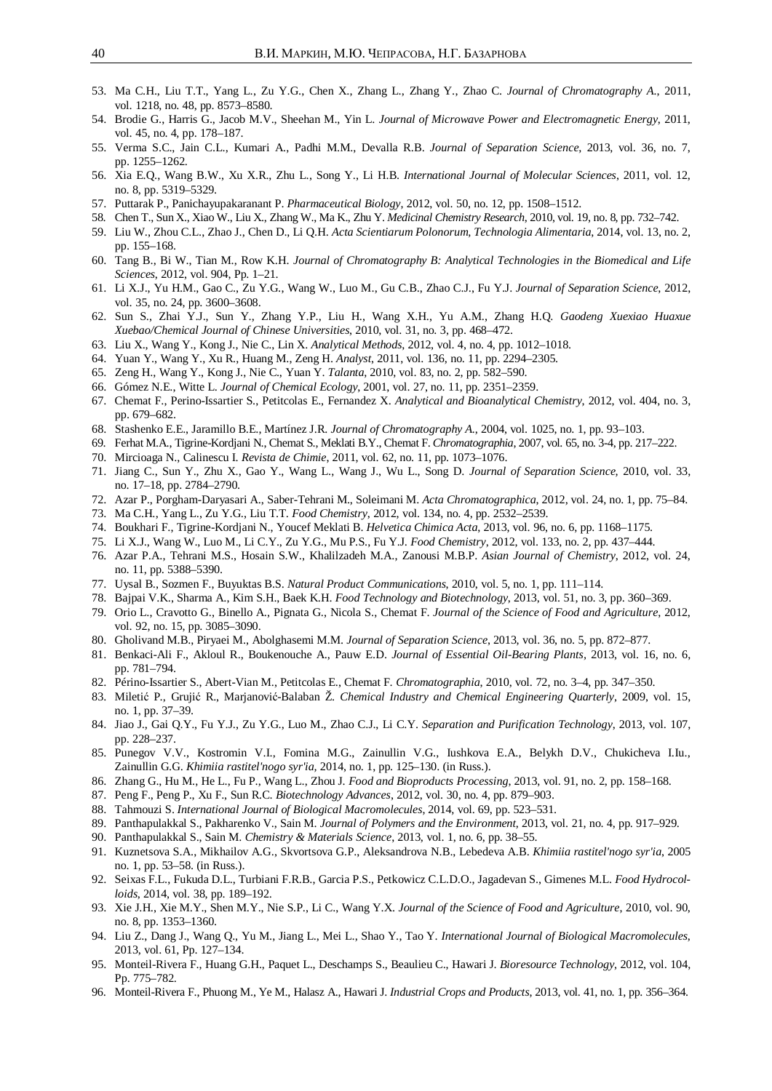- 53. Ma C.H., Liu T.T., Yang L., Zu Y.G., Chen X., Zhang L., Zhang Y., Zhao C. *Journal of Chromatography A.*, 2011, vol. 1218, no. 48, pp. 8573–8580.
- 54. Brodie G., Harris G., Jacob M.V., Sheehan M., Yin L. *Journal of Microwave Power and Electromagnetic Energy*, 2011, vol. 45, no. 4, pp. 178–187.
- 55. Verma S.C., Jain C.L., Kumari A., Padhi M.M., Devalla R.B. *Journal of Separation Science,* 2013, vol. 36, no. 7, pp. 1255–1262.
- 56. Xia E.Q., Wang B.W., Xu X.R., Zhu L., Song Y., Li H.B. *International Journal of Molecular Sciences*, 2011, vol. 12, no. 8, pp. 5319–5329.
- 57. Puttarak P., Panichayupakaranant P. *Pharmaceutical Biology*, 2012, vol. 50, no. 12, pp. 1508–1512.
- 58. Chen T., Sun X., Xiao W., Liu X., Zhang W., Ma K., Zhu Y. *Medicinal Chemistry Research*, 2010, vol. 19, no. 8, pp. 732–742.
- 59. Liu W., Zhou C.L., Zhao J., Chen D., Li Q.H. *Acta Scientiarum Polonorum, Technologia Alimentaria*, 2014, vol. 13, no. 2, pp. 155–168.
- 60. Tang B., Bi W., Tian M., Row K.H. *Journal of Chromatography B: Analytical Technologies in the Biomedical and Life Sciences*, 2012, vol. 904, Pp. 1–21.
- 61. Li X.J., Yu H.M., Gao C., Zu Y.G., Wang W., Luo M., Gu C.B., Zhao C.J., Fu Y.J. *Journal of Separation Science*, 2012, vol. 35, no. 24, pp. 3600–3608.
- 62. Sun S., Zhai Y.J., Sun Y., Zhang Y.P., Liu H., Wang X.H., Yu A.M., Zhang H.Q. *Gaodeng Xuexiao Huaxue Xuebao/Chemical Journal of Chinese Universities*, 2010, vol. 31, no. 3, pp. 468–472.
- 63. Liu X., Wang Y., Kong J., Nie C., Lin X. *Analytical Methods*, 2012, vol. 4, no. 4, pp. 1012–1018.
- 64. Yuan Y., Wang Y., Xu R., Huang M., Zeng H. *Analyst*, 2011, vol. 136, no. 11, pp. 2294–2305.
- 65. Zeng H., Wang Y., Kong J., Nie C., Yuan Y. *Talanta*, 2010, vol. 83, no. 2, pp. 582–590.
- 66. Gómez N.E., Witte L. *Journal of Chemical Ecology*, 2001, vol. 27, no. 11, pp. 2351–2359.
- 67. Chemat F., Perino-Issartier S., Petitcolas E., Fernandez X. *Analytical and Bioanalytical Chemistry*, 2012, vol. 404, no. 3, pp. 679–682.
- 68. Stashenko E.E., Jaramillo B.E., Martínez J.R. *Journal of Chromatography A.*, 2004, vol. 1025, no. 1, pp. 93–103.
- 69. Ferhat M.A., Tigrine-Kordjani N., Chemat S., Meklati B.Y., Chemat F. *Chromatographia*, 2007, vol. 65, no. 3-4, pp. 217–222.
- 70. Mircioaga N., Calinescu I. *Revista de Chimie*, 2011, vol. 62, no. 11, pp. 1073–1076.
- 71. Jiang C., Sun Y., Zhu X., Gao Y., Wang L., Wang J., Wu L., Song D. *Journal of Separation Science,* 2010, vol. 33, no. 17–18, pp. 2784–2790.
- 72. Azar P., Porgham-Daryasari A., Saber-Tehrani M., Soleimani M. *Acta Chromatographica*, 2012, vol. 24, no. 1, pp. 75–84.
- 73. Ma C.H., Yang L., Zu Y.G., Liu T.T. *Food Chemistry*, 2012, vol. 134, no. 4, pp. 2532–2539.
- 74. Boukhari F., Tigrine-Kordjani N., Youcef Meklati B. *Helvetica Chimica Acta*, 2013, vol. 96, no. 6, pp. 1168–1175.
- 75. Li X.J., Wang W., Luo M., Li C.Y., Zu Y.G., Mu P.S., Fu Y.J. *Food Chemistry*, 2012, vol. 133, no. 2, pp. 437–444.
- 76. Azar P.A., Tehrani M.S., Hosain S.W., Khalilzadeh M.A., Zanousi M.B.P. *Asian Journal of Chemistry*, 2012, vol. 24, no. 11, pp. 5388–5390.
- 77. Uysal B., Sozmen F., Buyuktas B.S. *Natural Product Communications*, 2010, vol. 5, no. 1, pp. 111–114.
- 78. Bajpai V.K., Sharma A., Kim S.H., Baek K.H. *Food Technology and Biotechnology*, 2013, vol. 51, no. 3, pp. 360–369.
- 79. Orio L., Cravotto G., Binello A., Pignata G., Nicola S., Chemat F. *Journal of the Science of Food and Agriculture*, 2012, vol. 92, no. 15, pp. 3085–3090.
- 80. Gholivand M.B., Piryaei M., Abolghasemi M.M. *Journal of Separation Science*, 2013, vol. 36, no. 5, pp. 872–877.
- 81. Benkaci-Ali F., Akloul R., Boukenouche A., Pauw E.D. *Journal of Essential Oil-Bearing Plants,* 2013, vol. 16, no. 6, pp. 781–794.
- 82. Périno-Issartier S., Abert-Vian M., Petitcolas E., Chemat F. *Chromatographia*, 2010, vol. 72, no. 3–4, pp. 347–350.
- 83. Miletić P., Grujić R., Marjanović-Balaban Ž. *Chemical Industry and Chemical Engineering Quarterly*, 2009, vol. 15, no. 1, pp. 37–39.
- 84. Jiao J., Gai Q.Y., Fu Y.J., Zu Y.G., Luo M., Zhao C.J., Li C.Y. *Separation and Purification Technology*, 2013, vol. 107, pp. 228–237.
- 85. Punegov V.V., Kostromin V.I., Fomina M.G., Zainullin V.G., Iushkova E.A., Belykh D.V., Chukicheva I.Iu., Zainullin G.G. *Khimiia rastitel'nogo syr'ia,* 2014, no. 1, pp. 125–130. (in Russ.).
- 86. Zhang G., Hu M., He L., Fu P., Wang L., Zhou J. *Food and Bioproducts Processing*, 2013, vol. 91, no. 2, pp. 158–168.
- 87. Peng F., Peng P., Xu F., Sun R.C. *Biotechnology Advances*, 2012, vol. 30, no. 4, pp. 879–903.
- 88. Tahmouzi S. *International Journal of Biological Macromolecules*, 2014, vol. 69, pp. 523–531.
- 89. Panthapulakkal S., Pakharenko V., Sain M. *Journal of Polymers and the Environment*, 2013, vol. 21, no. 4, pp. 917–929.
- 90. Panthapulakkal S., Sain M. *Chemistry & Materials Science*, 2013, vol. 1, no. 6, pp. 38–55.
- 91. Kuznetsova S.A., Mikhailov A.G., Skvortsova G.P., Aleksandrova N.B., Lebedeva A.B. *Khimiia rastitel'nogo syr'ia*, 2005 no. 1, pp. 53–58. (in Russ.).
- 92. Seixas F.L., Fukuda D.L., Turbiani F.R.B., Garcia P.S., Petkowicz C.L.D.O., Jagadevan S., Gimenes M.L. *Food Hydrocolloids*, 2014, vol. 38, pp. 189–192.
- 93. Xie J.H., Xie M.Y., Shen M.Y., Nie S.P., Li C., Wang Y.X. *Journal of the Science of Food and Agriculture*, 2010, vol. 90, no. 8, pp. 1353–1360.
- 94. Liu Z., Dang J., Wang Q., Yu M., Jiang L., Mei L., Shao Y., Tao Y. *International Journal of Biological Macromolecules*, 2013, vol. 61, Pp. 127–134.
- 95. Monteil-Rivera F., Huang G.H., Paquet L., Deschamps S., Beaulieu C., Hawari J. *Bioresource Technology*, 2012, vol. 104, Pp. 775–782.
- 96. Monteil-Rivera F., Phuong M., Ye M., Halasz A., Hawari J. *Industrial Crops and Products*, 2013, vol. 41, no. 1, pp. 356–364.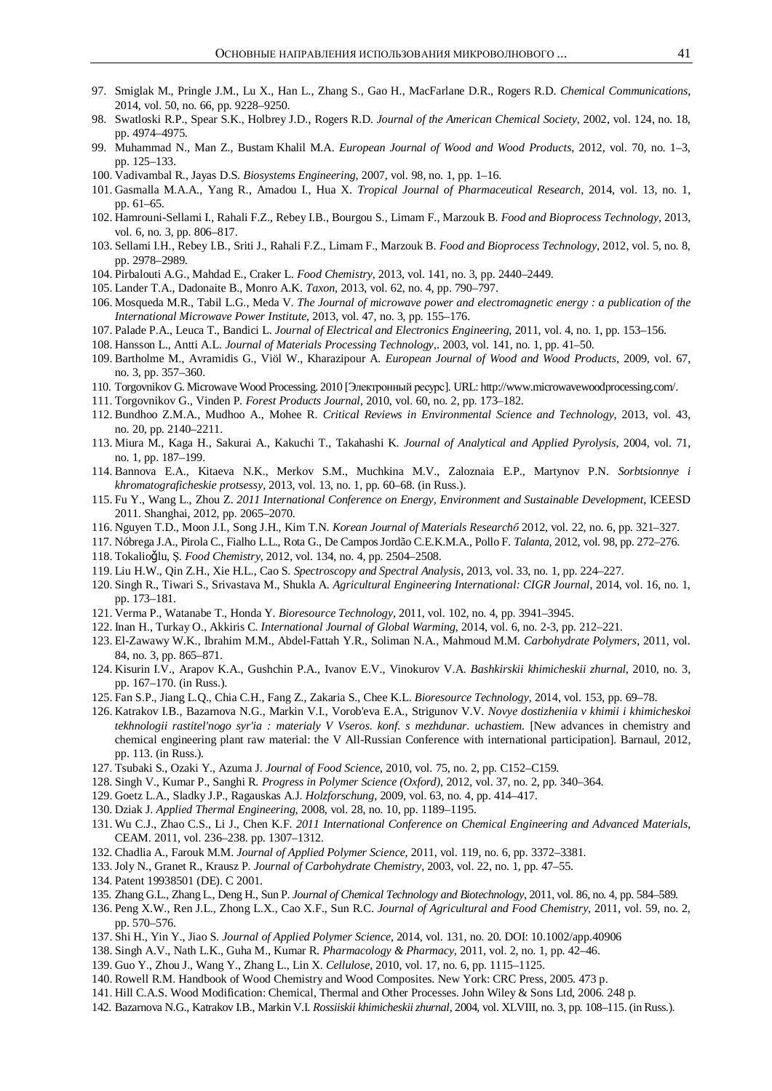- 97. Smiglak M., Pringle J.M., Lu X., Han L., Zhang S., Gao H., MacFarlane D.R., Rogers R.D. *Chemical Communications*, 2014, vol. 50, no. 66, pp. 9228–9250.
- 98. Swatloski R.P., Spear S.K., Holbrey J.D., Rogers R.D. *Journal of the American Chemical Society*, 2002, vol. 124, no. 18, pp. 4974–4975.
- 99. Muhammad N., Man Z., Bustam Khalil M.A. *European Journal of Wood and Wood Products*, 2012, vol. 70, no. 1–3, pp. 125–133.
- 100. Vadivambal R., Jayas D.S. *Biosystems Engineering*, 2007, vol. 98, no. 1, pp. 1–16.
- 101. Gasmalla M.A.A., Yang R., Amadou I., Hua X. *Tropical Journal of Pharmaceutical Research*, 2014, vol. 13, no. 1, pp. 61–65.
- 102. Hamrouni-Sellami I., Rahali F.Z., Rebey I.B., Bourgou S., Limam F., Marzouk B. *Food and Bioprocess Technology*, 2013, vol. 6, no. 3, pp. 806–817.
- 103. Sellami I.H., Rebey I.B., Sriti J., Rahali F.Z., Limam F., Marzouk B. *Food and Bioprocess Technology*, 2012, vol. 5, no. 8, pp. 2978–2989.
- 104. Pirbalouti A.G., Mahdad E., Craker L. *Food Chemistry*, 2013, vol. 141, no. 3, pp. 2440–2449.
- 105. Lander T.A., Dadonaite B., Monro A.K. *Taxon*, 2013, vol. 62, no. 4, pp. 790–797.
- 106. Mosqueda M.R., Tabil L.G., Meda V. *The Journal of microwave power and electromagnetic energy : a publication of the International Microwave Power Institute*, 2013, vol. 47, no. 3, pp. 155–176.
- 107. Palade P.A., Leuca T., Bandici L. *Journal of Electrical and Electronics Engineering,* 2011, vol. 4, no. 1, pp. 153–156.
- 108. Hansson L., Antti A.L. *Journal of Materials Processing Technology*,. 2003, vol. 141, no. 1, pp. 41–50.
- 109. Bartholme M., Avramidis G., Viöl W., Kharazipour A. *European Journal of Wood and Wood Products*, 2009, vol. 67, no. 3, pp. 357–360.
- 110. Torgovnikov G. Microwave Wood Processing. 2010 [Электронный ресурс]. URL: http://www.microwavewoodprocessing.com/.
- 111. Torgovnikov G., Vinden P. *Forest Products Journal*, 2010, vol. 60, no. 2, pp. 173–182.
- 112. Bundhoo Z.M.A., Mudhoo A., Mohee R. *Critical Reviews in Environmental Science and Technology*, 2013, vol. 43, no. 20, pp. 2140–2211.
- 113. Miura M., Kaga H., Sakurai A., Kakuchi T., Takahashi K. *Journal of Analytical and Applied Pyrolysis*, 2004, vol. 71, no. 1, pp. 187–199.
- 114. Bannova E.A., Kitaeva N.K., Merkov S.M., Muchkina M.V., Zaloznaia E.P., Martynov P.N. *Sorbtsionnye i khromatograficheskie protsessy,* 2013, vol. 13, no. 1, pp. 60–68. (in Russ.).
- 115. Fu Y., Wang L., Zhou Z. *2011 International Conference on Energy, Environment and Sustainable Development*, ICEESD 2011. Shanghai, 2012, pp. 2065–2070.
- 116. Nguyen T.D., Moon J.I., Song J.H., Kim T.N. *Korean Journal of Materials Researchɛ* 2012, vol. 22, no. 6, pp. 321–327.
- 117. Nóbrega J.A., Pirola C., Fialho L.L., Rota G., De Campos Jordão C.E.K.M.A., Pollo F. *Talanta*, 2012, vol. 98, pp. 272–276.
- 118. Tokalioğlu, Ş. *Food Chemistry*, 2012, vol. 134, no. 4, pp. 2504–2508.
- 119. Liu H.W., Qin Z.H., Xie H.L., Cao S. *Spectroscopy and Spectral Analysis*, 2013, vol. 33, no. 1, pp. 224–227.
- 120. Singh R., Tiwari S., Srivastava M., Shukla A. *Agricultural Engineering International: CIGR Journal*, 2014, vol. 16, no. 1, pp. 173–181.
- 121. Verma P., Watanabe T., Honda Y. *Bioresource Technology*, 2011, vol. 102, no. 4, pp. 3941–3945.
- 122. Inan H., Turkay O., Akkiris C. *International Journal of Global Warming*, 2014, vol. 6, no. 2-3, pp. 212–221.
- 123. El-Zawawy W.K., Ibrahim M.M., Abdel-Fattah Y.R., Soliman N.A., Mahmoud M.M. *Carbohydrate Polymers*, 2011, vol. 84, no. 3, pp. 865–871.
- 124. Kisurin I.V., Arapov K.A., Gushchin P.A., Ivanov E.V., Vinokurov V.A. *Bashkirskii khimicheskii zhurnal*, 2010, no. 3, pp. 167–170. (in Russ.).
- 125. Fan S.P., Jiang L.Q., Chia C.H., Fang Z., Zakaria S., Chee K.L. *Bioresource Technology*, 2014, vol. 153, pp. 69–78.
- 126. Katrakov I.B., Bazarnova N.G., Markin V.I., Vorob'eva E.A., Strigunov V.V. *Novye dostizheniia v khimii i khimicheskoi tekhnologii rastitel'nogo syr'ia : materialy V Vseros. konf. s mezhdunar. uchastiem.* [New advances in chemistry and chemical engineering plant raw material: the V All-Russian Conference with international participation]. Barnaul, 2012, pp. 113. (in Russ.).
- 127. Tsubaki S., Ozaki Y., Azuma J. *Journal of Food Science*, 2010, vol. 75, no. 2, pp. C152–C159.
- 128. Singh V., Kumar P., Sanghi R. *Progress in Polymer Science (Oxford)*, 2012, vol. 37, no. 2, pp. 340–364.
- 129. Goetz L.A., Sladky J.P., Ragauskas A.J. *Holzforschung*, 2009, vol. 63, no. 4, pp. 414–417.
- 130. Dziak J. *Applied Thermal Engineering,* 2008, vol. 28, no. 10, pp. 1189–1195.
- 131. Wu C.J., Zhao C.S., Li J., Chen K.F. *2011 International Conference on Chemical Engineering and Advanced Materials*, CEAM. 2011, vol. 236–238. pp. 1307–1312.
- 132. Chadlia A., Farouk M.M. *Journal of Applied Polymer Science,* 2011, vol. 119, no. 6, pp. 3372–3381.
- 133. Joly N., Granet R., Krausz P. *Journal of Carbohydrate Chemistry,* 2003, vol. 22, no. 1, pp. 47–55.
- 134. Patent 19938501 (DE). C 2001.
- 135. Zhang G.L., Zhang L., Deng H., Sun P. *Journal of Chemical Technology and Biotechnology*, 2011, vol. 86, no. 4, pp. 584–589.
- 136. Peng X.W., Ren J.L., Zhong L.X., Cao X.F., Sun R.C. *Journal of Agricultural and Food Chemistry*, 2011, vol. 59, no. 2, pp. 570–576.
- 137. Shi H., Yin Y., Jiao S. *Journal of Applied Polymer Science*, 2014, vol. 131, no. 20. DOI: 10.1002/app.40906
- 138. Singh A.V., Nath L.K., Guha M., Kumar R. *Pharmacology & Pharmacy*, 2011, vol. 2, no. 1, pp. 42–46.
- 139. Guo Y., Zhou J., Wang Y., Zhang L., Lin X. *Cellulose,* 2010, vol. 17, no. 6, pp. 1115–1125.
- 140. Rowell R.M. Handbook of Wood Chemistry and Wood Composites. New York: CRC Press, 2005. 473 p.
- 141. Hill C.A.S. Wood Modification: Chemical, Thermal and Other Processes. John Wiley & Sons Ltd, 2006. 248 p.
- 142. Bazarnova N.G., Katrakov I.B., Markin V.I. *Rossiiskii khimicheskii zhurnal*, 2004, vol. XLVIII, no. 3, pp. 108–115. (in Russ.).